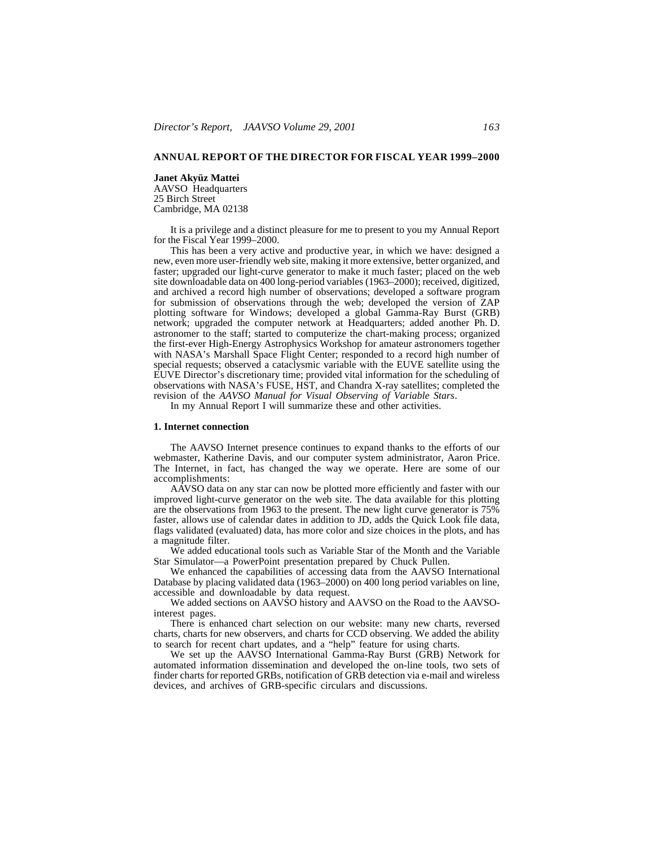### **ANNUAL REPORT OF THE DIRECTOR FOR FISCAL YEAR 1999–2000**

# **Janet Akyüz Mattei** AAVSO Headquarters 25 Birch Street

Cambridge, MA 02138

It is a privilege and a distinct pleasure for me to present to you my Annual Report for the Fiscal Year 1999–2000.

This has been a very active and productive year, in which we have: designed a new, even more user-friendly web site, making it more extensive, better organized, and faster; upgraded our light-curve generator to make it much faster; placed on the web site downloadable data on 400 long-period variables (1963–2000); received, digitized, and archived a record high number of observations; developed a software program for submission of observations through the web; developed the version of ZAP plotting software for Windows; developed a global Gamma-Ray Burst (GRB) network; upgraded the computer network at Headquarters; added another Ph. D. astronomer to the staff; started to computerize the chart-making process; organized the first-ever High-Energy Astrophysics Workshop for amateur astronomers together with NASA's Marshall Space Flight Center; responded to a record high number of special requests; observed a cataclysmic variable with the EUVE satellite using the EUVE Director's discretionary time; provided vital information for the scheduling of observations with NASA's FUSE, HST, and Chandra X-ray satellites; completed the revision of the *AAVSO Manual for Visual Observing of Variable Stars*.

In my Annual Report I will summarize these and other activities.

### **1. Internet connection**

The AAVSO Internet presence continues to expand thanks to the efforts of our webmaster, Katherine Davis, and our computer system administrator, Aaron Price. The Internet, in fact, has changed the way we operate. Here are some of our accomplishments:

AAVSO data on any star can now be plotted more efficiently and faster with our improved light-curve generator on the web site. The data available for this plotting are the observations from 1963 to the present. The new light curve generator is 75% faster, allows use of calendar dates in addition to JD, adds the Quick Look file data, flags validated (evaluated) data, has more color and size choices in the plots, and has a magnitude filter.

We added educational tools such as Variable Star of the Month and the Variable Star Simulator—a PowerPoint presentation prepared by Chuck Pullen.

We enhanced the capabilities of accessing data from the AAVSO International Database by placing validated data (1963–2000) on 400 long period variables on line, accessible and downloadable by data request.

We added sections on AAVSO history and AAVSO on the Road to the AAVSOinterest pages.

There is enhanced chart selection on our website: many new charts, reversed charts, charts for new observers, and charts for CCD observing. We added the ability to search for recent chart updates, and a "help" feature for using charts.

We set up the AAVSO International Gamma-Ray Burst (GRB) Network for automated information dissemination and developed the on-line tools, two sets of finder charts for reported GRBs, notification of GRB detection via e-mail and wireless devices, and archives of GRB-specific circulars and discussions.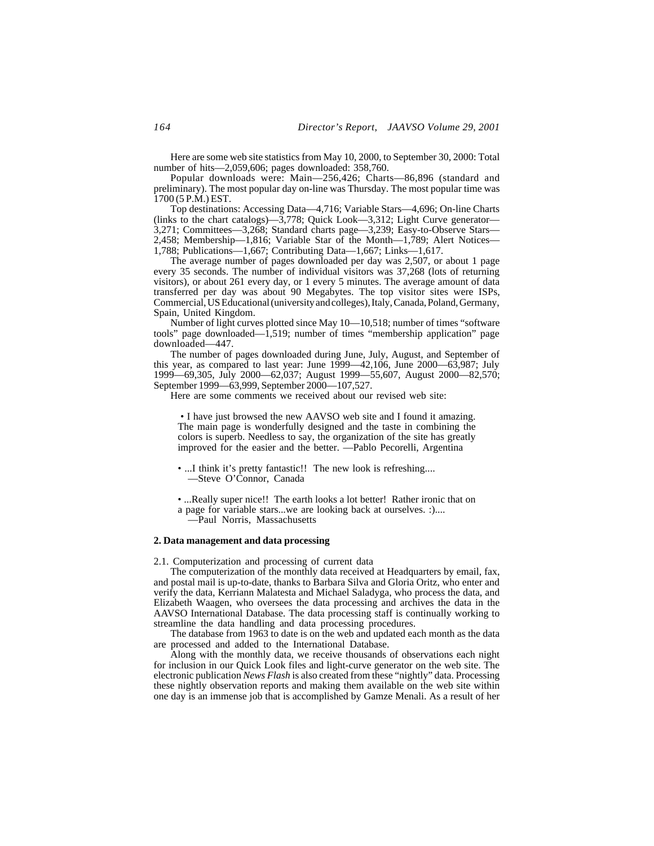Here are some web site statistics from May 10, 2000, to September 30, 2000: Total number of hits—2,059,606; pages downloaded: 358,760.

Popular downloads were: Main—256,426; Charts—86,896 (standard and preliminary). The most popular day on-line was Thursday. The most popular time was 1700 (5 P.M.) EST.

Top destinations: Accessing Data—4,716; Variable Stars—4,696; On-line Charts (links to the chart catalogs)—3,778; Quick Look—3,312; Light Curve generator— 3,271; Committees—3,268; Standard charts page—3,239; Easy-to-Observe Stars— 2,458; Membership—1,816; Variable Star of the Month—1,789; Alert Notices— 1,788; Publications—1,667; Contributing Data—1,667; Links—1,617.

The average number of pages downloaded per day was 2,507, or about 1 page every 35 seconds. The number of individual visitors was 37,268 (lots of returning visitors), or about 261 every day, or 1 every 5 minutes. The average amount of data transferred per day was about 90 Megabytes. The top visitor sites were ISPs, Commercial, US Educational (university and colleges), Italy, Canada, Poland, Germany, Spain, United Kingdom.

Number of light curves plotted since May 10—10,518; number of times "software tools" page downloaded—1,519; number of times "membership application" page downloaded—447.

The number of pages downloaded during June, July, August, and September of this year, as compared to last year: June 1999—42,106, June 2000—63,987; July 1999—69,305, July 2000—62,037; August 1999—55,607, August 2000—82,570; September 1999—63,999, September 2000—107,527.

Here are some comments we received about our revised web site:

• I have just browsed the new AAVSO web site and I found it amazing. The main page is wonderfully designed and the taste in combining the colors is superb. Needless to say, the organization of the site has greatly improved for the easier and the better. —Pablo Pecorelli, Argentina

• ...I think it's pretty fantastic!! The new look is refreshing.... —Steve O'Connor, Canada

• ...Really super nice!! The earth looks a lot better! Rather ironic that on a page for variable stars...we are looking back at ourselves. :)....

—Paul Norris, Massachusetts

### **2. Data management and data processing**

2.1. Computerization and processing of current data

The computerization of the monthly data received at Headquarters by email, fax, and postal mail is up-to-date, thanks to Barbara Silva and Gloria Oritz, who enter and verify the data, Kerriann Malatesta and Michael Saladyga, who process the data, and Elizabeth Waagen, who oversees the data processing and archives the data in the AAVSO International Database. The data processing staff is continually working to streamline the data handling and data processing procedures.

The database from 1963 to date is on the web and updated each month as the data are processed and added to the International Database.

Along with the monthly data, we receive thousands of observations each night for inclusion in our Quick Look files and light-curve generator on the web site. The electronic publication *News Flash* is also created from these "nightly" data. Processing these nightly observation reports and making them available on the web site within one day is an immense job that is accomplished by Gamze Menali. As a result of her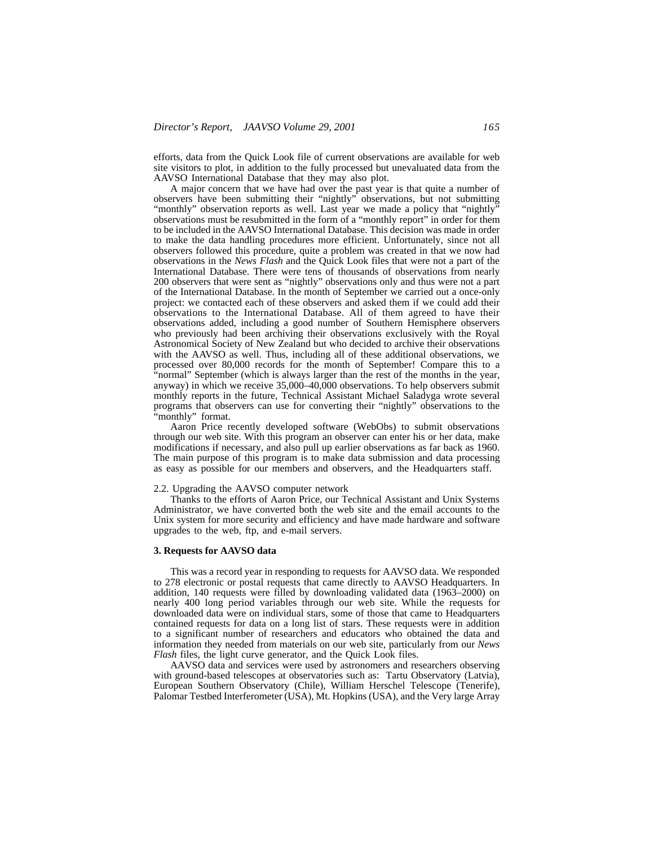efforts, data from the Quick Look file of current observations are available for web site visitors to plot, in addition to the fully processed but unevaluated data from the AAVSO International Database that they may also plot.

A major concern that we have had over the past year is that quite a number of observers have been submitting their "nightly" observations, but not submitting "monthly" observation reports as well. Last year we made a policy that "nightly" observations must be resubmitted in the form of a "monthly report" in order for them to be included in the AAVSO International Database. This decision was made in order to make the data handling procedures more efficient. Unfortunately, since not all observers followed this procedure, quite a problem was created in that we now had observations in the *News Flash* and the Quick Look files that were not a part of the International Database. There were tens of thousands of observations from nearly 200 observers that were sent as "nightly" observations only and thus were not a part of the International Database. In the month of September we carried out a once-only project: we contacted each of these observers and asked them if we could add their observations to the International Database. All of them agreed to have their observations added, including a good number of Southern Hemisphere observers who previously had been archiving their observations exclusively with the Royal Astronomical Society of New Zealand but who decided to archive their observations with the AAVSO as well. Thus, including all of these additional observations, we processed over 80,000 records for the month of September! Compare this to a "normal" September (which is always larger than the rest of the months in the year, anyway) in which we receive 35,000–40,000 observations. To help observers submit monthly reports in the future, Technical Assistant Michael Saladyga wrote several programs that observers can use for converting their "nightly" observations to the "monthly" format.

Aaron Price recently developed software (WebObs) to submit observations through our web site. With this program an observer can enter his or her data, make modifications if necessary, and also pull up earlier observations as far back as 1960. The main purpose of this program is to make data submission and data processing as easy as possible for our members and observers, and the Headquarters staff.

# 2.2. Upgrading the AAVSO computer network

Thanks to the efforts of Aaron Price, our Technical Assistant and Unix Systems Administrator, we have converted both the web site and the email accounts to the Unix system for more security and efficiency and have made hardware and software upgrades to the web, ftp, and e-mail servers.

## **3. Requests for AAVSO data**

This was a record year in responding to requests for AAVSO data. We responded to 278 electronic or postal requests that came directly to AAVSO Headquarters. In addition, 140 requests were filled by downloading validated data (1963–2000) on nearly 400 long period variables through our web site. While the requests for downloaded data were on individual stars, some of those that came to Headquarters contained requests for data on a long list of stars. These requests were in addition to a significant number of researchers and educators who obtained the data and information they needed from materials on our web site, particularly from our *News Flash* files, the light curve generator, and the Quick Look files.

AAVSO data and services were used by astronomers and researchers observing with ground-based telescopes at observatories such as: Tartu Observatory (Latvia), European Southern Observatory (Chile), William Herschel Telescope (Tenerife), Palomar Testbed Interferometer (USA), Mt. Hopkins (USA), and the Very large Array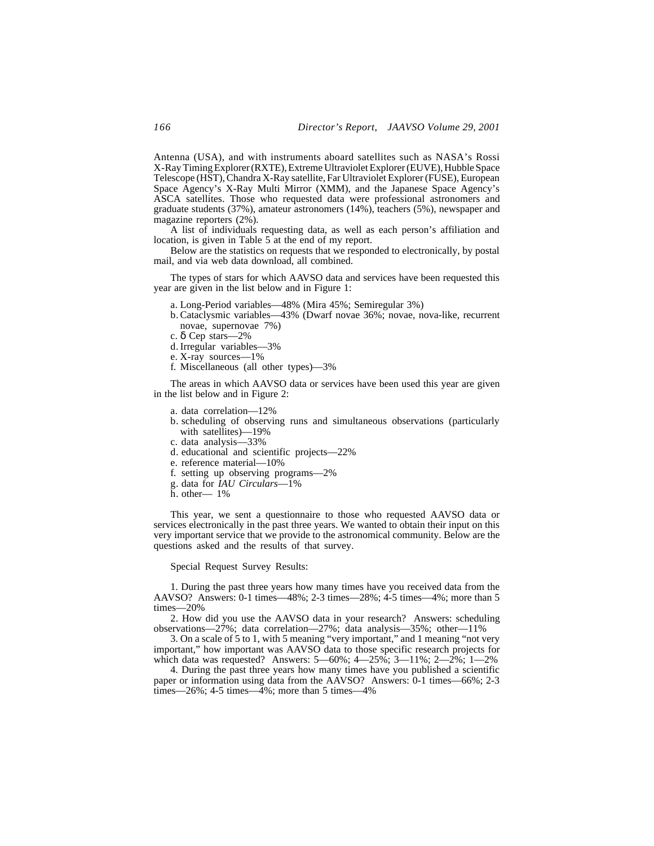Antenna (USA), and with instruments aboard satellites such as NASA's Rossi X-Ray Timing Explorer (RXTE), Extreme Ultraviolet Explorer (EUVE), Hubble Space Telescope (HST), Chandra X-Ray satellite, Far Ultraviolet Explorer (FUSE), European Space Agency's X-Ray Multi Mirror (XMM), and the Japanese Space Agency's ASCA satellites. Those who requested data were professional astronomers and graduate students (37%), amateur astronomers (14%), teachers (5%), newspaper and magazine reporters (2%).

A list of individuals requesting data, as well as each person's affiliation and location, is given in Table 5 at the end of my report.

Below are the statistics on requests that we responded to electronically, by postal mail, and via web data download, all combined.

The types of stars for which AAVSO data and services have been requested this year are given in the list below and in Figure 1:

a. Long-Period variables—48% (Mira 45%; Semiregular 3%)

- b. Cataclysmic variables—43% (Dwarf novae 36%; novae, nova-like, recurrent novae, supernovae 7%)
- c. δ Cep stars—2%
- d. Irregular variables—3%
- e. X-ray sources—1%
- f. Miscellaneous (all other types)—3%

The areas in which AAVSO data or services have been used this year are given in the list below and in Figure 2:

- a. data correlation—12%
- b. scheduling of observing runs and simultaneous observations (particularly with satellites)—19%
- c. data analysis—33%
- d. educational and scientific projects—22%
- e. reference material—10%
- f. setting up observing programs—2%
- g. data for *IAU Circulars*—1%
- h. other— 1%

This year, we sent a questionnaire to those who requested AAVSO data or services electronically in the past three years. We wanted to obtain their input on this very important service that we provide to the astronomical community. Below are the questions asked and the results of that survey.

### Special Request Survey Results:

1. During the past three years how many times have you received data from the AAVSO? Answers: 0-1 times—48%; 2-3 times—28%; 4-5 times—4%; more than 5 times—20%

2. How did you use the AAVSO data in your research? Answers: scheduling observations—27%; data correlation—27%; data analysis—35%; other—11%

3. On a scale of 5 to 1, with 5 meaning "very important," and 1 meaning "not very important," how important was AAVSO data to those specific research projects for which data was requested? Answers:  $5-60\%$ ;  $4-25\%$ ;  $3-11\%$ ;  $2-2\%$ ;  $1-2\%$ 

4. During the past three years how many times have you published a scientific paper or information using data from the AAVSO? Answers: 0-1 times—66%; 2-3 times—26%; 4-5 times—4%; more than 5 times—4%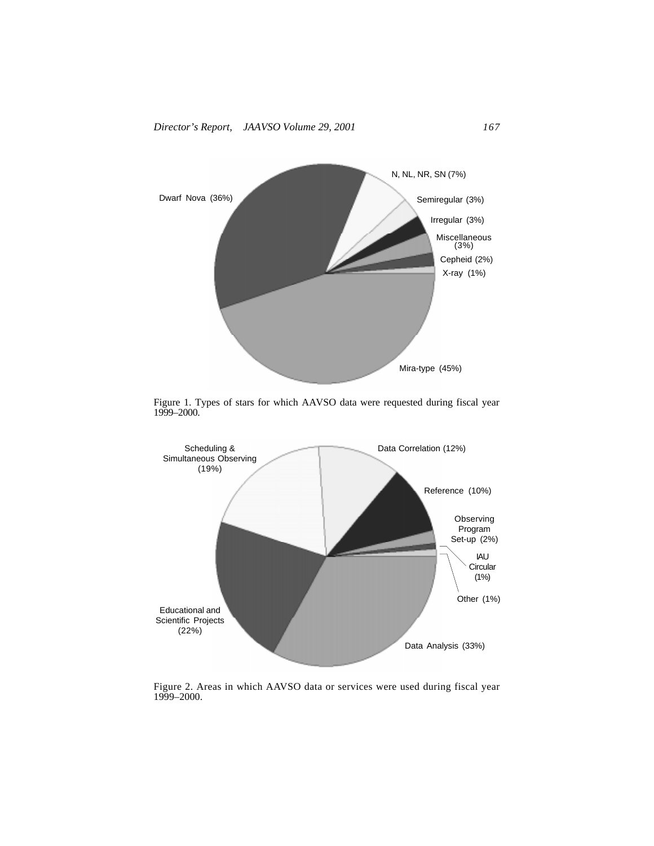

Figure 1. Types of stars for which AAVSO data were requested during fiscal year 1999–2000.



Figure 2. Areas in which AAVSO data or services were used during fiscal year 1999–2000.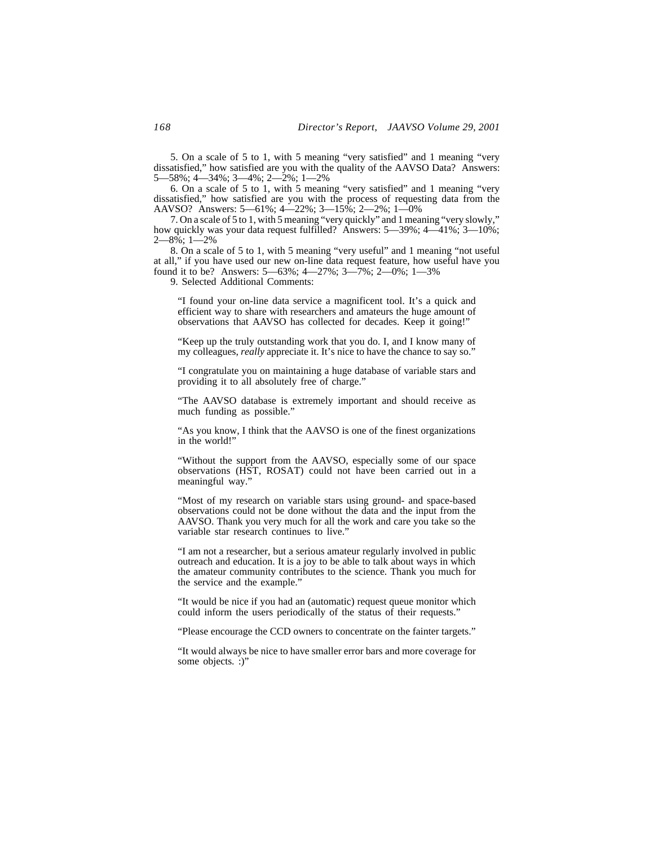5. On a scale of 5 to 1, with 5 meaning "very satisfied" and 1 meaning "very dissatisfied," how satisfied are you with the quality of the AAVSO Data? Answers: 5—58%; 4—34%; 3—4%; 2—2%; 1—2%

6. On a scale of 5 to 1, with 5 meaning "very satisfied" and 1 meaning "very dissatisfied," how satisfied are you with the process of requesting data from the AAVSO? Answers: 5—61%; 4—22%; 3—15%; 2—2%; 1—0%

7. On a scale of 5 to 1, with 5 meaning "very quickly" and 1 meaning "very slowly," how quickly was your data request fulfilled? Answers: 5—39%; 4—41%; 3—10%;  $-8\hat{6}$ : 1—2%

8. On a scale of 5 to 1, with 5 meaning "very useful" and 1 meaning "not useful at all," if you have used our new on-line data request feature, how useful have you found it to be? Answers: 5—63%; 4—27%; 3—7%; 2—0%; 1—3%

9. Selected Additional Comments:

"I found your on-line data service a magnificent tool. It's a quick and efficient way to share with researchers and amateurs the huge amount of observations that AAVSO has collected for decades. Keep it going!"

"Keep up the truly outstanding work that you do. I, and I know many of my colleagues, *really* appreciate it. It's nice to have the chance to say so."

"I congratulate you on maintaining a huge database of variable stars and providing it to all absolutely free of charge."

"The AAVSO database is extremely important and should receive as much funding as possible."

"As you know, I think that the AAVSO is one of the finest organizations in the world!"

"Without the support from the AAVSO, especially some of our space observations (HST, ROSAT) could not have been carried out in a meaningful way."

"Most of my research on variable stars using ground- and space-based observations could not be done without the data and the input from the AAVSO. Thank you very much for all the work and care you take so the variable star research continues to live."

"I am not a researcher, but a serious amateur regularly involved in public outreach and education. It is a joy to be able to talk about ways in which the amateur community contributes to the science. Thank you much for the service and the example."

"It would be nice if you had an (automatic) request queue monitor which could inform the users periodically of the status of their requests."

"Please encourage the CCD owners to concentrate on the fainter targets."

"It would always be nice to have smaller error bars and more coverage for some objects. :)"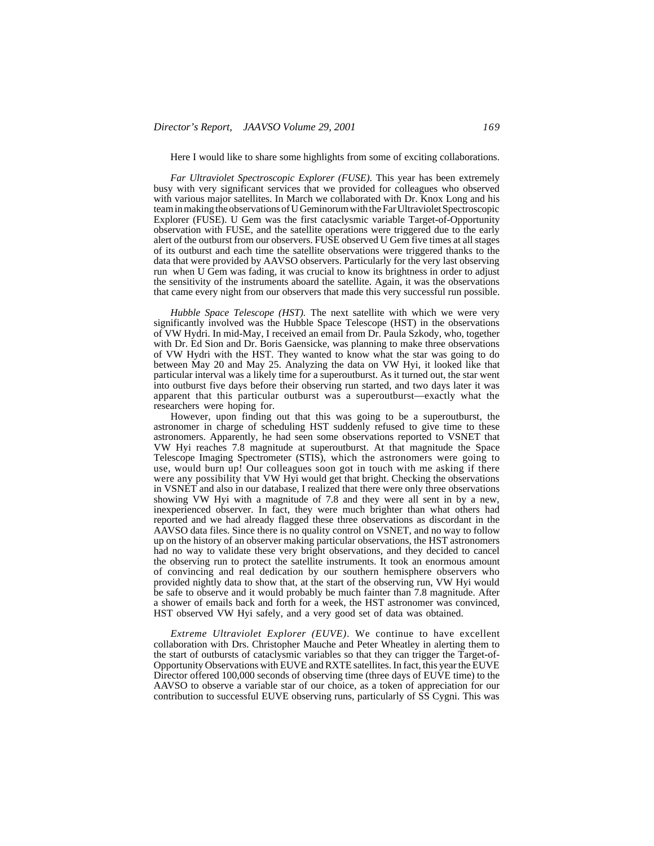Here I would like to share some highlights from some of exciting collaborations.

*Far Ultraviolet Spectroscopic Explorer (FUSE)*. This year has been extremely busy with very significant services that we provided for colleagues who observed with various major satellites. In March we collaborated with Dr. Knox Long and his team in making the observations of U Geminorum with the Far Ultraviolet Spectroscopic Explorer (FUSE). U Gem was the first cataclysmic variable Target-of-Opportunity observation with FUSE, and the satellite operations were triggered due to the early alert of the outburst from our observers. FUSE observed U Gem five times at all stages of its outburst and each time the satellite observations were triggered thanks to the data that were provided by AAVSO observers. Particularly for the very last observing run when U Gem was fading, it was crucial to know its brightness in order to adjust the sensitivity of the instruments aboard the satellite. Again, it was the observations that came every night from our observers that made this very successful run possible.

*Hubble Space Telescope (HST).* The next satellite with which we were very significantly involved was the Hubble Space Telescope (HST) in the observations of VW Hydri. In mid-May, I received an email from Dr. Paula Szkody, who, together with Dr. Ed Sion and Dr. Boris Gaensicke, was planning to make three observations of VW Hydri with the HST. They wanted to know what the star was going to do between May 20 and May 25. Analyzing the data on VW Hyi, it looked like that particular interval was a likely time for a superoutburst. As it turned out, the star went into outburst five days before their observing run started, and two days later it was apparent that this particular outburst was a superoutburst—exactly what the researchers were hoping for.

However, upon finding out that this was going to be a superoutburst, the astronomer in charge of scheduling HST suddenly refused to give time to these astronomers. Apparently, he had seen some observations reported to VSNET that VW Hyi reaches 7.8 magnitude at superoutburst. At that magnitude the Space Telescope Imaging Spectrometer (STIS), which the astronomers were going to use, would burn up! Our colleagues soon got in touch with me asking if there were any possibility that VW Hyi would get that bright. Checking the observations in VSNET and also in our database, I realized that there were only three observations showing VW Hyi with a magnitude of 7.8 and they were all sent in by a new, inexperienced observer. In fact, they were much brighter than what others had reported and we had already flagged these three observations as discordant in the AAVSO data files. Since there is no quality control on VSNET, and no way to follow up on the history of an observer making particular observations, the HST astronomers had no way to validate these very bright observations, and they decided to cancel the observing run to protect the satellite instruments. It took an enormous amount of convincing and real dedication by our southern hemisphere observers who provided nightly data to show that, at the start of the observing run, VW Hyi would be safe to observe and it would probably be much fainter than 7.8 magnitude. After a shower of emails back and forth for a week, the HST astronomer was convinced, HST observed VW Hyi safely, and a very good set of data was obtained.

*Extreme Ultraviolet Explorer (EUVE)*. We continue to have excellent collaboration with Drs. Christopher Mauche and Peter Wheatley in alerting them to the start of outbursts of cataclysmic variables so that they can trigger the Target-of-Opportunity Observations with EUVE and RXTE satellites. In fact, this year the EUVE Director offered 100,000 seconds of observing time (three days of EUVE time) to the AAVSO to observe a variable star of our choice, as a token of appreciation for our contribution to successful EUVE observing runs, particularly of SS Cygni. This was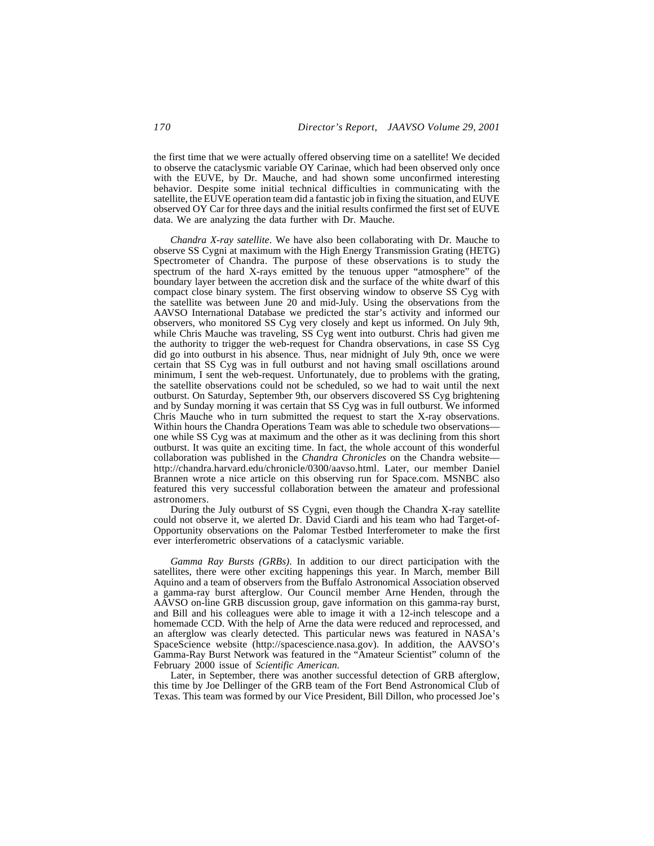the first time that we were actually offered observing time on a satellite! We decided to observe the cataclysmic variable OY Carinae, which had been observed only once with the EUVE, by Dr. Mauche, and had shown some unconfirmed interesting behavior. Despite some initial technical difficulties in communicating with the satellite, the EUVE operation team did a fantastic job in fixing the situation, and EUVE observed OY Car for three days and the initial results confirmed the first set of EUVE data. We are analyzing the data further with Dr. Mauche.

*Chandra X-ray satellite*. We have also been collaborating with Dr. Mauche to observe SS Cygni at maximum with the High Energy Transmission Grating (HETG) Spectrometer of Chandra. The purpose of these observations is to study the spectrum of the hard X-rays emitted by the tenuous upper "atmosphere" of the boundary layer between the accretion disk and the surface of the white dwarf of this compact close binary system. The first observing window to observe SS Cyg with the satellite was between June 20 and mid-July. Using the observations from the AAVSO International Database we predicted the star's activity and informed our observers, who monitored SS Cyg very closely and kept us informed. On July 9th, while Chris Mauche was traveling, SS Cyg went into outburst. Chris had given me the authority to trigger the web-request for Chandra observations, in case SS Cyg did go into outburst in his absence. Thus, near midnight of July 9th, once we were certain that SS Cyg was in full outburst and not having small oscillations around minimum, I sent the web-request. Unfortunately, due to problems with the grating, the satellite observations could not be scheduled, so we had to wait until the next outburst. On Saturday, September 9th, our observers discovered SS Cyg brightening and by Sunday morning it was certain that SS Cyg was in full outburst. We informed Chris Mauche who in turn submitted the request to start the X-ray observations. Within hours the Chandra Operations Team was able to schedule two observations one while SS Cyg was at maximum and the other as it was declining from this short outburst. It was quite an exciting time. In fact, the whole account of this wonderful collaboration was published in the *Chandra Chronicles* on the Chandra website http://chandra.harvard.edu/chronicle/0300/aavso.html. Later, our member Daniel Brannen wrote a nice article on this observing run for Space.com. MSNBC also featured this very successful collaboration between the amateur and professional astronomers.

During the July outburst of SS Cygni, even though the Chandra X-ray satellite could not observe it, we alerted Dr. David Ciardi and his team who had Target-of-Opportunity observations on the Palomar Testbed Interferometer to make the first ever interferometric observations of a cataclysmic variable.

*Gamma Ray Bursts (GRBs)*. In addition to our direct participation with the satellites, there were other exciting happenings this year. In March, member Bill Aquino and a team of observers from the Buffalo Astronomical Association observed a gamma-ray burst afterglow. Our Council member Arne Henden, through the AAVSO on-line GRB discussion group, gave information on this gamma-ray burst, and Bill and his colleagues were able to image it with a 12-inch telescope and a homemade CCD. With the help of Arne the data were reduced and reprocessed, and an afterglow was clearly detected. This particular news was featured in NASA's SpaceScience website (http://spacescience.nasa.gov). In addition, the AAVSO's Gamma-Ray Burst Network was featured in the "Amateur Scientist" column of the February 2000 issue of *Scientific American*.

Later, in September, there was another successful detection of GRB afterglow, this time by Joe Dellinger of the GRB team of the Fort Bend Astronomical Club of Texas. This team was formed by our Vice President, Bill Dillon, who processed Joe's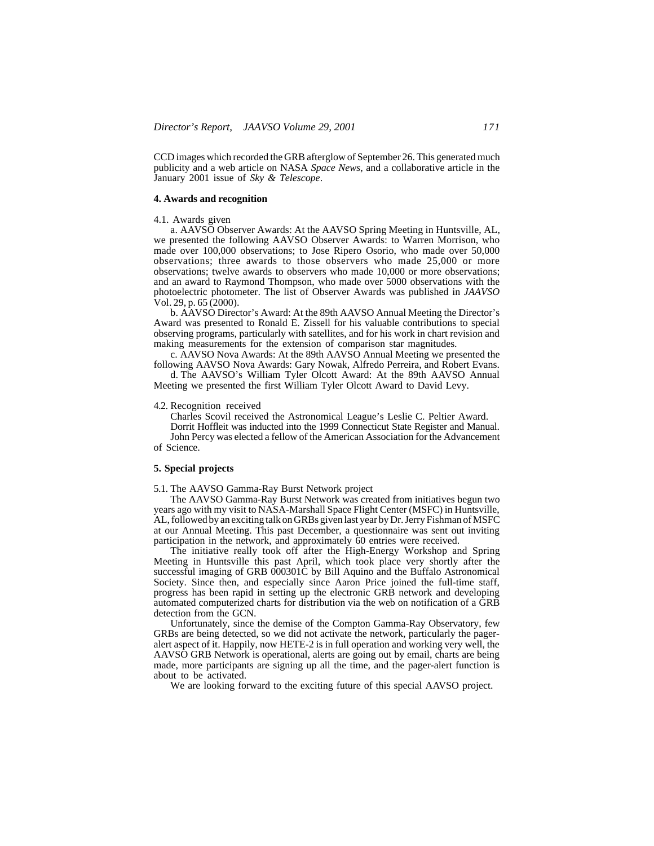CCD images which recorded the GRB afterglow of September 26. This generated much publicity and a web article on NASA *Space News*, and a collaborative article in the January 2001 issue of *Sky & Telescope*.

### **4. Awards and recognition**

#### 4.1. Awards given

a. AAVSO Observer Awards: At the AAVSO Spring Meeting in Huntsville, AL, we presented the following AAVSO Observer Awards: to Warren Morrison, who made over 100,000 observations; to Jose Ripero Osorio, who made over 50,000 observations; three awards to those observers who made 25,000 or more observations; twelve awards to observers who made 10,000 or more observations; and an award to Raymond Thompson, who made over 5000 observations with the photoelectric photometer. The list of Observer Awards was published in *JAAVSO* Vol. 29, p. 65 (2000).

b. AAVSO Director's Award: At the 89th AAVSO Annual Meeting the Director's Award was presented to Ronald E. Zissell for his valuable contributions to special observing programs, particularly with satellites, and for his work in chart revision and making measurements for the extension of comparison star magnitudes.

c. AAVSO Nova Awards: At the 89th AAVSO Annual Meeting we presented the following AAVSO Nova Awards: Gary Nowak, Alfredo Perreira, and Robert Evans.

d. The AAVSO's William Tyler Olcott Award: At the 89th AAVSO Annual Meeting we presented the first William Tyler Olcott Award to David Levy.

### 4.2. Recognition received

Charles Scovil received the Astronomical League's Leslie C. Peltier Award.

Dorrit Hoffleit was inducted into the 1999 Connecticut State Register and Manual. John Percy was elected a fellow of the American Association for the Advancement

of Science.

## **5. Special projects**

5.1. The AAVSO Gamma-Ray Burst Network project

The AAVSO Gamma-Ray Burst Network was created from initiatives begun two years ago with my visit to NASA-Marshall Space Flight Center (MSFC) in Huntsville, AL, followed by an exciting talk on GRBs given last year by Dr. Jerry Fishman of MSFC at our Annual Meeting. This past December, a questionnaire was sent out inviting participation in the network, and approximately 60 entries were received.

The initiative really took off after the High-Energy Workshop and Spring Meeting in Huntsville this past April, which took place very shortly after the successful imaging of GRB 000301C by Bill Aquino and the Buffalo Astronomical Society. Since then, and especially since Aaron Price joined the full-time staff, progress has been rapid in setting up the electronic GRB network and developing automated computerized charts for distribution via the web on notification of a GRB detection from the GCN.

Unfortunately, since the demise of the Compton Gamma-Ray Observatory, few GRBs are being detected, so we did not activate the network, particularly the pageralert aspect of it. Happily, now HETE-2 is in full operation and working very well, the AAVSO GRB Network is operational, alerts are going out by email, charts are being made, more participants are signing up all the time, and the pager-alert function is about to be activated.

We are looking forward to the exciting future of this special AAVSO project.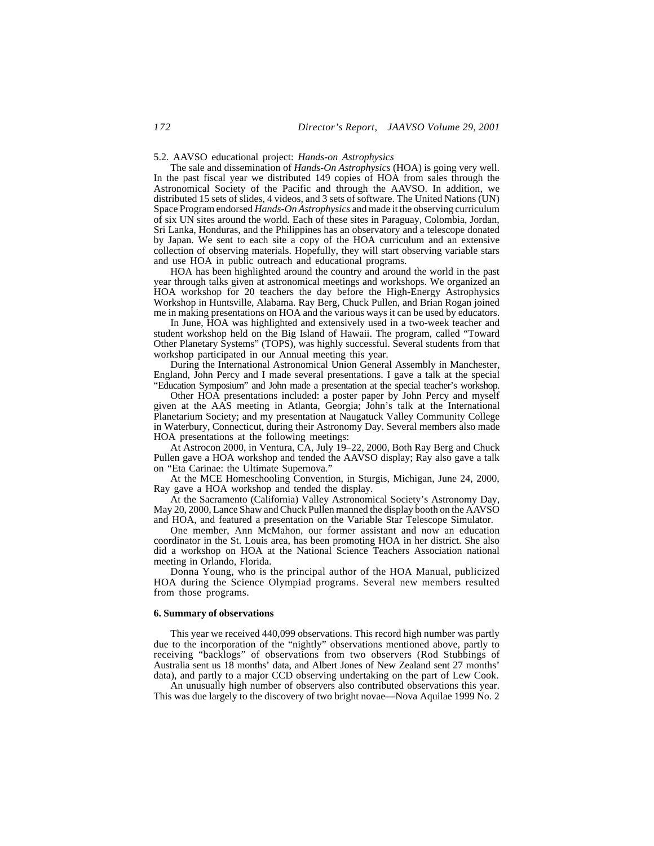5.2. AAVSO educational project: *Hands-on Astrophysics*

The sale and dissemination of *Hands-On Astrophysics* (HOA) is going very well. In the past fiscal year we distributed 149 copies of HOA from sales through the Astronomical Society of the Pacific and through the AAVSO. In addition, we distributed 15 sets of slides, 4 videos, and 3 sets of software. The United Nations (UN) Space Program endorsed *Hands-On Astrophysics* and made it the observing curriculum of six UN sites around the world. Each of these sites in Paraguay, Colombia, Jordan, Sri Lanka, Honduras, and the Philippines has an observatory and a telescope donated by Japan. We sent to each site a copy of the HOA curriculum and an extensive collection of observing materials. Hopefully, they will start observing variable stars and use HOA in public outreach and educational programs.

HOA has been highlighted around the country and around the world in the past year through talks given at astronomical meetings and workshops. We organized an HOA workshop for 20 teachers the day before the High-Energy Astrophysics Workshop in Huntsville, Alabama. Ray Berg, Chuck Pullen, and Brian Rogan joined me in making presentations on HOA and the various ways it can be used by educators.

In June, HOA was highlighted and extensively used in a two-week teacher and student workshop held on the Big Island of Hawaii. The program, called "Toward Other Planetary Systems" (TOPS), was highly successful. Several students from that workshop participated in our Annual meeting this year.

During the International Astronomical Union General Assembly in Manchester, England, John Percy and I made several presentations. I gave a talk at the special "Education Symposium" and John made a presentation at the special teacher's workshop.

Other HOA presentations included: a poster paper by John Percy and myself given at the AAS meeting in Atlanta, Georgia; John's talk at the International Planetarium Society; and my presentation at Naugatuck Valley Community College in Waterbury, Connecticut, during their Astronomy Day. Several members also made HOA presentations at the following meetings:

At Astrocon 2000, in Ventura, CA, July 19–22, 2000, Both Ray Berg and Chuck Pullen gave a HOA workshop and tended the AAVSO display; Ray also gave a talk on "Eta Carinae: the Ultimate Supernova."

At the MCE Homeschooling Convention, in Sturgis, Michigan, June 24, 2000, Ray gave a HOA workshop and tended the display.

At the Sacramento (California) Valley Astronomical Society's Astronomy Day, May 20, 2000, Lance Shaw and Chuck Pullen manned the display booth on the AAVSO and HOA, and featured a presentation on the Variable Star Telescope Simulator.

One member, Ann McMahon, our former assistant and now an education coordinator in the St. Louis area, has been promoting HOA in her district. She also did a workshop on HOA at the National Science Teachers Association national meeting in Orlando, Florida.

Donna Young, who is the principal author of the HOA Manual, publicized HOA during the Science Olympiad programs. Several new members resulted from those programs.

#### **6. Summary of observations**

This year we received 440,099 observations. This record high number was partly due to the incorporation of the "nightly" observations mentioned above, partly to receiving "backlogs" of observations from two observers (Rod Stubbings of Australia sent us 18 months' data, and Albert Jones of New Zealand sent 27 months' data), and partly to a major CCD observing undertaking on the part of Lew Cook.

An unusually high number of observers also contributed observations this year. This was due largely to the discovery of two bright novae—Nova Aquilae 1999 No. 2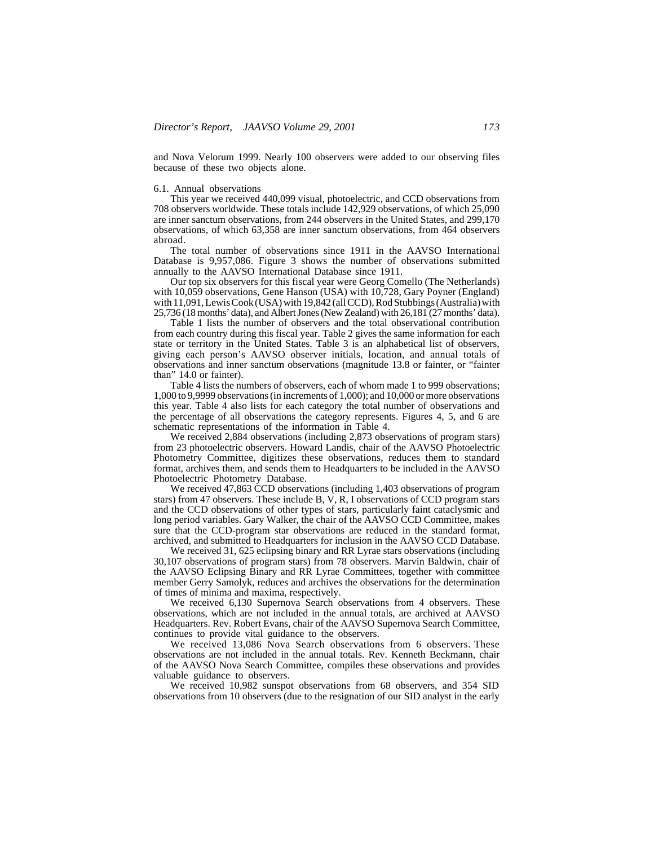and Nova Velorum 1999. Nearly 100 observers were added to our observing files because of these two objects alone.

### 6.1. Annual observations

This year we received 440,099 visual, photoelectric, and CCD observations from 708 observers worldwide. These totals include 142,929 observations, of which 25,090 are inner sanctum observations, from 244 observers in the United States, and 299,170 observations, of which 63,358 are inner sanctum observations, from 464 observers abroad.

The total number of observations since 1911 in the AAVSO International Database is 9,957,086. Figure 3 shows the number of observations submitted annually to the AAVSO International Database since 1911.

Our top six observers for this fiscal year were Georg Comello (The Netherlands) with 10,059 observations, Gene Hanson (USA) with 10,728, Gary Poyner (England) with 11,091, Lewis Cook (USA) with 19,842 (all CCD), Rod Stubbings (Australia) with 25,736 (18 months' data), and Albert Jones (New Zealand) with 26,181 (27 months' data).

Table 1 lists the number of observers and the total observational contribution from each country during this fiscal year. Table 2 gives the same information for each state or territory in the United States. Table 3 is an alphabetical list of observers, giving each person's AAVSO observer initials, location, and annual totals of observations and inner sanctum observations (magnitude 13.8 or fainter, or "fainter than" 14.0 or fainter).

Table 4 lists the numbers of observers, each of whom made 1 to 999 observations; 1,000 to 9,9999 observations (in increments of 1,000); and 10,000 or more observations this year. Table 4 also lists for each category the total number of observations and the percentage of all observations the category represents. Figures 4, 5, and 6 are schematic representations of the information in Table 4.

We received 2,884 observations (including 2,873 observations of program stars) from 23 photoelectric observers. Howard Landis, chair of the AAVSO Photoelectric Photometry Committee, digitizes these observations, reduces them to standard format, archives them, and sends them to Headquarters to be included in the AAVSO Photoelectric Photometry Database.

We received 47,863 CCD observations (including 1,403 observations of program stars) from 47 observers. These include B, V, R, I observations of CCD program stars and the CCD observations of other types of stars, particularly faint cataclysmic and long period variables. Gary Walker, the chair of the AAVSO CCD Committee, makes sure that the CCD-program star observations are reduced in the standard format, archived, and submitted to Headquarters for inclusion in the AAVSO CCD Database.

We received 31, 625 eclipsing binary and RR Lyrae stars observations (including 30,107 observations of program stars) from 78 observers. Marvin Baldwin, chair of the AAVSO Eclipsing Binary and RR Lyrae Committees, together with committee member Gerry Samolyk, reduces and archives the observations for the determination of times of minima and maxima, respectively.

We received 6,130 Supernova Search observations from 4 observers. These observations, which are not included in the annual totals, are archived at AAVSO Headquarters. Rev. Robert Evans, chair of the AAVSO Supernova Search Committee, continues to provide vital guidance to the observers.

We received 13,086 Nova Search observations from 6 observers. These observations are not included in the annual totals. Rev. Kenneth Beckmann, chair of the AAVSO Nova Search Committee, compiles these observations and provides valuable guidance to observers.

We received 10,982 sunspot observations from 68 observers, and 354 SID observations from 10 observers (due to the resignation of our SID analyst in the early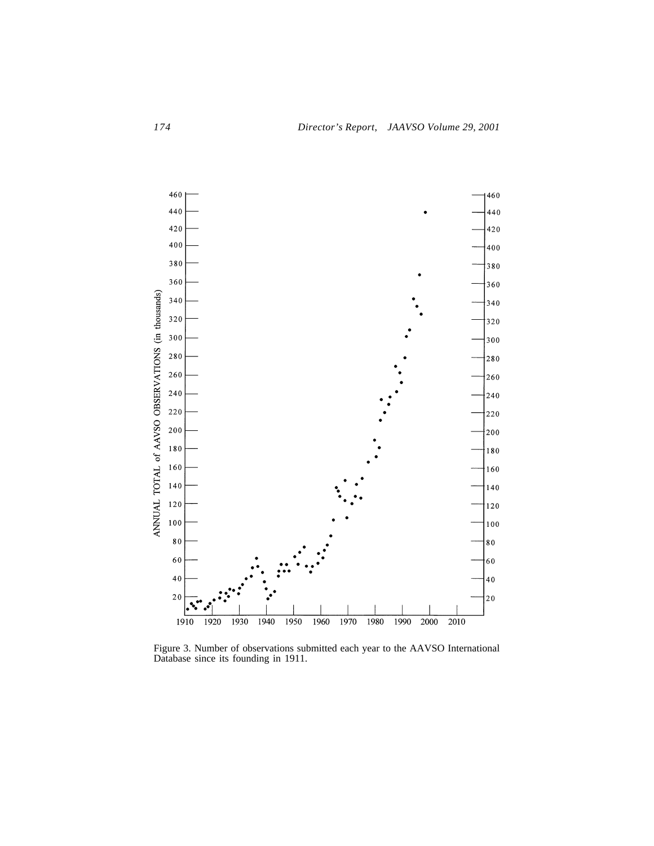

Figure 3. Number of observations submitted each year to the AAVSO International Database since its founding in 1911.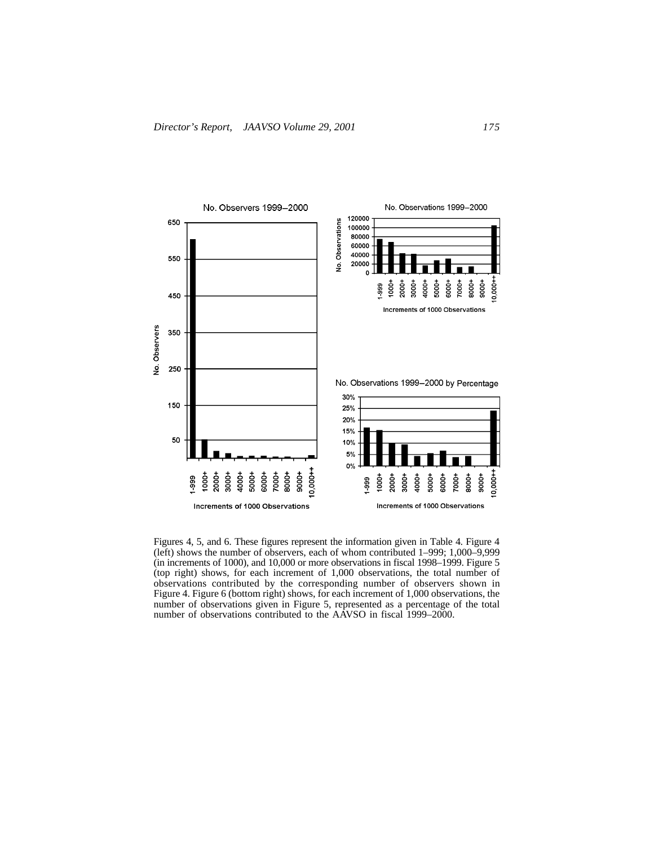

Figures 4, 5, and 6. These figures represent the information given in Table 4. Figure 4 (left) shows the number of observers, each of whom contributed 1–999; 1,000–9,999 (in increments of 1000), and 10,000 or more observations in fiscal 1998–1999. Figure 5 (top right) shows, for each increment of 1,000 observations, the total number of observations contributed by the corresponding number of observers shown in Figure 4. Figure 6 (bottom right) shows, for each increment of 1,000 observations, the number of observations given in Figure 5, represented as a percentage of the total number of observations contributed to the AAVSO in fiscal 1999–2000.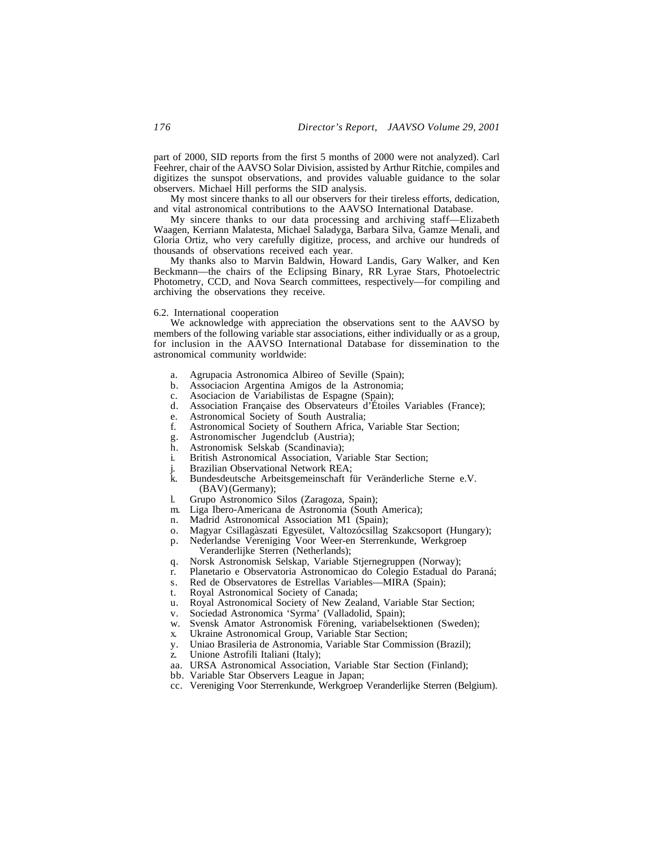part of 2000, SID reports from the first 5 months of 2000 were not analyzed). Carl Feehrer, chair of the AAVSO Solar Division, assisted by Arthur Ritchie, compiles and digitizes the sunspot observations, and provides valuable guidance to the solar observers. Michael Hill performs the SID analysis.

My most sincere thanks to all our observers for their tireless efforts, dedication, and vital astronomical contributions to the AAVSO International Database.

My sincere thanks to our data processing and archiving staff—Elizabeth Waagen, Kerriann Malatesta, Michael Saladyga, Barbara Silva, Gamze Menali, and Gloria Ortiz, who very carefully digitize, process, and archive our hundreds of thousands of observations received each year.

My thanks also to Marvin Baldwin, Howard Landis, Gary Walker, and Ken Beckmann—the chairs of the Eclipsing Binary, RR Lyrae Stars, Photoelectric Photometry, CCD, and Nova Search committees, respectively—for compiling and archiving the observations they receive.

### 6.2. International cooperation

We acknowledge with appreciation the observations sent to the AAVSO by members of the following variable star associations, either individually or as a group, for inclusion in the AAVSO International Database for dissemination to the astronomical community worldwide:

- a. Agrupacia Astronomica Albireo of Seville (Spain);
- b. Associacion Argentina Amigos de la Astronomia;
- c. Asociacion de Variabilistas de Espagne (Spain);
- d. Association Française des Observateurs d'Étoiles Variables (France);
- e. Astronomical Society of South Australia;
- f. Astronomical Society of Southern Africa, Variable Star Section;
- g. Astronomischer Jugendclub (Austria);
- h. Astronomisk Selskab (Scandinavia);
- i. British Astronomical Association, Variable Star Section;
- j. Brazilian Observational Network REA;
- k. Bundesdeutsche Arbeitsgemeinschaft für Veränderliche Sterne e.V. (BAV) (Germany);
- l. Grupo Astronomico Silos (Zaragoza, Spain);
- m. Liga Ibero-Americana de Astronomia (South America);
- n. Madrid Astronomical Association M1 (Spain);
- o. Magyar Csillagàszati Egyesület, Valtozócsillag Szakcsoport (Hungary);
- p. Nederlandse Vereniging Voor Weer-en Sterrenkunde, Werkgroep Veranderlijke Sterren (Netherlands);
- q. Norsk Astronomisk Selskap, Variable Stjernegruppen (Norway);
- r. Planetario e Observatoria Astronomicao do Colegio Estadual do Paraná;
- s. Red de Observatores de Estrellas Variables—MIRA (Spain);
- t. Royal Astronomical Society of Canada;
- u. Royal Astronomical Society of New Zealand, Variable Star Section;
- v. Sociedad Astronomica 'Syrma' (Valladolid, Spain);
- w. Svensk Amator Astronomisk Förening, variabelsektionen (Sweden);
- x. Ukraine Astronomical Group, Variable Star Section;
- y. Uniao Brasileria de Astronomia, Variable Star Commission (Brazil);
- z. Unione Astrofili Italiani (Italy);
- aa. URSA Astronomical Association, Variable Star Section (Finland);
- bb. Variable Star Observers League in Japan;
- cc. Vereniging Voor Sterrenkunde, Werkgroep Veranderlijke Sterren (Belgium).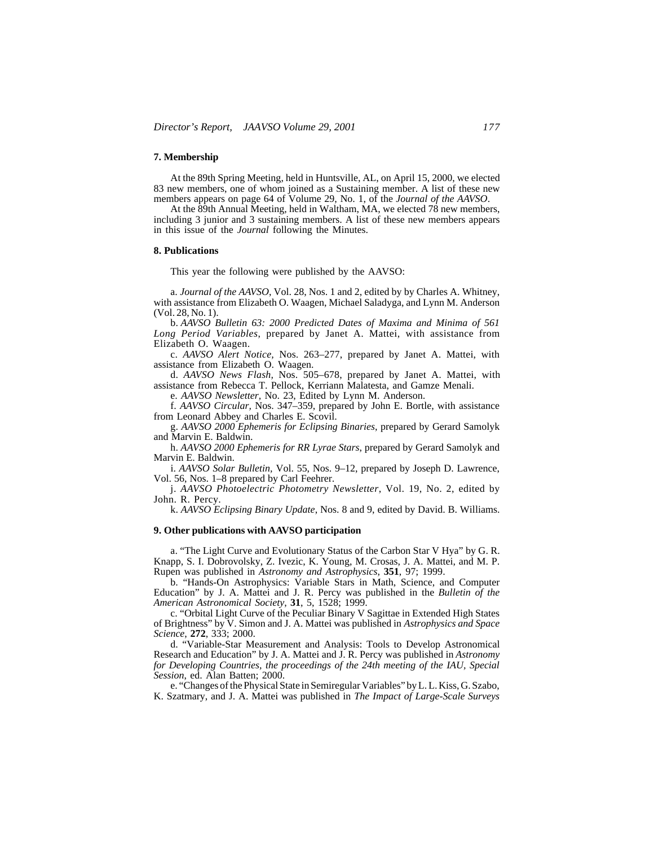### **7. Membership**

At the 89th Spring Meeting, held in Huntsville, AL, on April 15, 2000, we elected 83 new members, one of whom joined as a Sustaining member. A list of these new members appears on page 64 of Volume 29, No. 1, of the *Journal of the AAVSO*.

At the 89th Annual Meeting, held in Waltham, MA, we elected 78 new members, including 3 junior and 3 sustaining members. A list of these new members appears in this issue of the *Journal* following the Minutes.

### **8. Publications**

This year the following were published by the AAVSO:

a. *Journal of the AAVSO*, Vol. 28, Nos. 1 and 2, edited by by Charles A. Whitney, with assistance from Elizabeth O. Waagen, Michael Saladyga, and Lynn M. Anderson (Vol. 28, No. 1).

b. *AAVSO Bulletin 63: 2000 Predicted Dates of Maxima and Minima of 561 Long Period Variables*, prepared by Janet A. Mattei, with assistance from Elizabeth O. Waagen.

c. *AAVSO Alert Notice,* Nos. 263–277, prepared by Janet A. Mattei, with assistance from Elizabeth O. Waagen.

d. *AAVSO News Flash,* Nos. 505–678, prepared by Janet A. Mattei, with assistance from Rebecca T. Pellock, Kerriann Malatesta, and Gamze Menali.

e. *AAVSO Newsletter,* No. 23, Edited by Lynn M. Anderson.

f. *AAVSO Circular,* Nos. 347–359, prepared by John E. Bortle, with assistance from Leonard Abbey and Charles E. Scovil.

g. *AAVSO 2000 Ephemeris for Eclipsing Binaries*, prepared by Gerard Samolyk and Marvin E. Baldwin.

h. *AAVSO 2000 Ephemeris for RR Lyrae Stars*, prepared by Gerard Samolyk and Marvin E. Baldwin.

i. *AAVSO Solar Bulletin,* Vol. 55, Nos. 9–12, prepared by Joseph D. Lawrence, Vol. 56, Nos. 1–8 prepared by Carl Feehrer.

j. *AAVSO Photoelectric Photometry Newsletter*, Vol. 19, No. 2, edited by John. R. Percy.

k. *AAVSO Eclipsing Binary Update*, Nos. 8 and 9, edited by David. B. Williams.

### **9. Other publications with AAVSO participation**

a. "The Light Curve and Evolutionary Status of the Carbon Star V Hya" by G. R. Knapp, S. I. Dobrovolsky, Z. Ivezic, K. Young, M. Crosas, J. A. Mattei, and M. P. Rupen was published in *Astronomy and Astrophysics*, **351**, 97; 1999.

b. "Hands-On Astrophysics: Variable Stars in Math, Science, and Computer Education" by J. A. Mattei and J. R. Percy was published in the *Bulletin of the American Astronomical Society*, **31**, 5, 1528; 1999.

c. "Orbital Light Curve of the Peculiar Binary V Sagittae in Extended High States of Brightness" by V. Simon and J. A. Mattei was published in *Astrophysics and Space Science*, **272**, 333; 2000.

d. "Variable-Star Measurement and Analysis: Tools to Develop Astronomical Research and Education" by J. A. Mattei and J. R. Percy was published in *Astronomy for Developing Countries, the proceedings of the 24th meeting of the IAU, Special Session*, ed. Alan Batten; 2000.

e. "Changes of the Physical State in Semiregular Variables" by L. L. Kiss, G. Szabo, K. Szatmary, and J. A. Mattei was published in *The Impact of Large-Scale Surveys*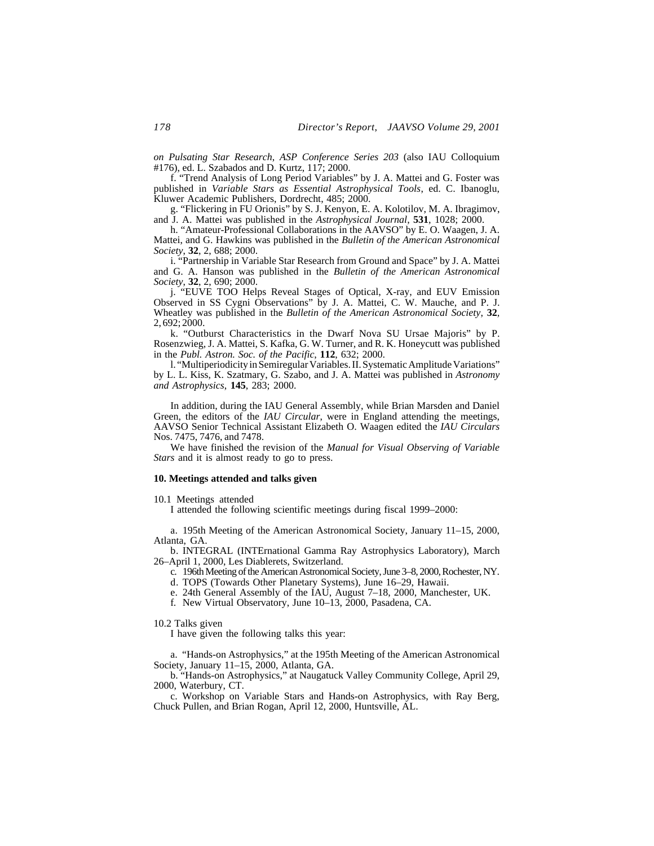*on Pulsating Star Research*, *ASP Conference Series 203* (also IAU Colloquium #176), ed. L. Szabados and D. Kurtz, 117; 2000.

f. "Trend Analysis of Long Period Variables" by J. A. Mattei and G. Foster was published in *Variable Stars as Essential Astrophysical Tools*, ed. C. Ibanoglu, Kluwer Academic Publishers, Dordrecht, 485; 2000.

g. "Flickering in FU Orionis" by S. J. Kenyon, E. A. Kolotilov, M. A. Ibragimov, and J. A. Mattei was published in the *Astrophysical Journal*, **531**, 1028; 2000.

h. "Amateur-Professional Collaborations in the AAVSO" by E. O. Waagen, J. A. Mattei, and G. Hawkins was published in the *Bulletin of the American Astronomical Society*, **32**, 2, 688; 2000.

i. "Partnership in Variable Star Research from Ground and Space" by J. A. Mattei and G. A. Hanson was published in the *Bulletin of the American Astronomical Society*, **32**, 2, 690; 2000.

j. "EUVE TOO Helps Reveal Stages of Optical, X-ray, and EUV Emission Observed in SS Cygni Observations" by J. A. Mattei, C. W. Mauche, and P. J. Wheatley was published in the *Bulletin of the American Astronomical Society*, **32**, 2, 692; 2000.

k. "Outburst Characteristics in the Dwarf Nova SU Ursae Majoris" by P. Rosenzwieg, J. A. Mattei, S. Kafka, G. W. Turner, and R. K. Honeycutt was published in the *Publ. Astron. Soc. of the Pacific*, **112**, 632; 2000.

l. "Multiperiodicity in Semiregular Variables. II. Systematic Amplitude Variations" by L. L. Kiss, K. Szatmary, G. Szabo, and J. A. Mattei was published in *Astronomy and Astrophysics*, **145**, 283; 2000.

In addition, during the IAU General Assembly, while Brian Marsden and Daniel Green, the editors of the *IAU Circular*, were in England attending the meetings, AAVSO Senior Technical Assistant Elizabeth O. Waagen edited the *IAU Circulars* Nos. 7475, 7476, and 7478.

We have finished the revision of the *Manual for Visual Observing of Variable Stars* and it is almost ready to go to press.

### **10. Meetings attended and talks given**

10.1 Meetings attended

I attended the following scientific meetings during fiscal 1999–2000:

a. 195th Meeting of the American Astronomical Society, January 11–15, 2000, Atlanta, GA.

b. INTEGRAL (INTErnational Gamma Ray Astrophysics Laboratory), March 26–April 1, 2000, Les Diablerets, Switzerland.

c. 196th Meeting of the American Astronomical Society, June 3–8, 2000, Rochester, NY.

d. TOPS (Towards Other Planetary Systems), June 16–29, Hawaii.

- e. 24th General Assembly of the IAU, August 7–18, 2000, Manchester, UK.
- f. New Virtual Observatory, June 10–13, 2000, Pasadena, CA.

10.2 Talks given

I have given the following talks this year:

a. "Hands-on Astrophysics," at the 195th Meeting of the American Astronomical Society, January 11–15, 2000, Atlanta, GA.

b. "Hands-on Astrophysics," at Naugatuck Valley Community College, April 29, 2000, Waterbury, CT.

c. Workshop on Variable Stars and Hands-on Astrophysics, with Ray Berg, Chuck Pullen, and Brian Rogan, April 12, 2000, Huntsville, AL.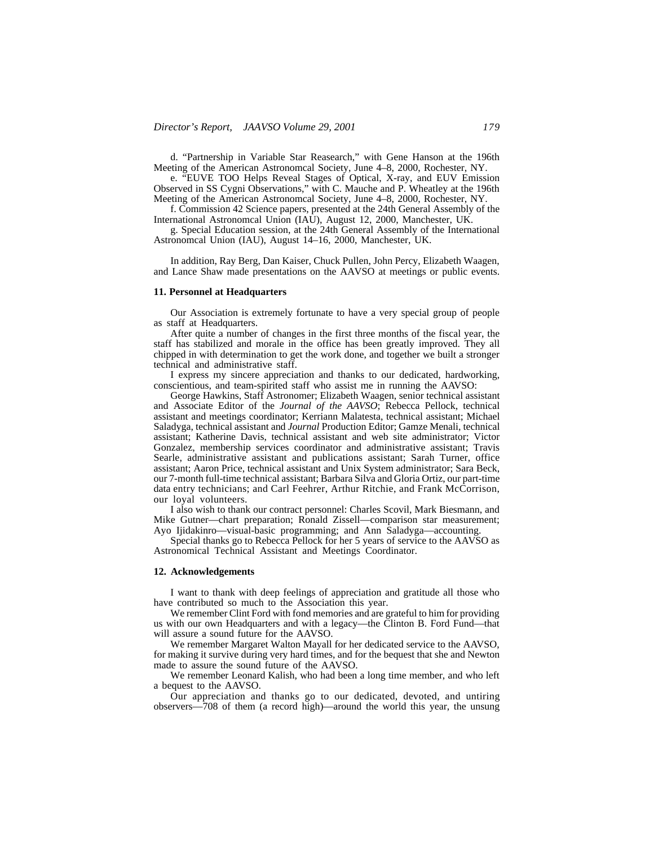d. "Partnership in Variable Star Reasearch," with Gene Hanson at the 196th Meeting of the American Astronomcal Society, June 4–8, 2000, Rochester, NY.

e. "EUVE TOO Helps Reveal Stages of Optical, X-ray, and EUV Emission Observed in SS Cygni Observations," with C. Mauche and P. Wheatley at the 196th Meeting of the American Astronomcal Society, June 4–8, 2000, Rochester, NY.

f. Commission 42 Science papers, presented at the 24th General Assembly of the International Astronomcal Union (IAU), August 12, 2000, Manchester, UK.

g. Special Education session, at the 24th General Assembly of the International Astronomcal Union (IAU), August 14–16, 2000, Manchester, UK.

In addition, Ray Berg, Dan Kaiser, Chuck Pullen, John Percy, Elizabeth Waagen, and Lance Shaw made presentations on the AAVSO at meetings or public events.

### **11. Personnel at Headquarters**

Our Association is extremely fortunate to have a very special group of people as staff at Headquarters.

After quite a number of changes in the first three months of the fiscal year, the staff has stabilized and morale in the office has been greatly improved. They all chipped in with determination to get the work done, and together we built a stronger technical and administrative staff.

I express my sincere appreciation and thanks to our dedicated, hardworking, conscientious, and team-spirited staff who assist me in running the AAVSO:

George Hawkins, Staff Astronomer; Elizabeth Waagen, senior technical assistant and Associate Editor of the *Journal of the AAVSO*; Rebecca Pellock, technical assistant and meetings coordinator; Kerriann Malatesta, technical assistant; Michael Saladyga, technical assistant and *Journal* Production Editor; Gamze Menali, technical assistant; Katherine Davis, technical assistant and web site administrator; Victor Gonzalez, membership services coordinator and administrative assistant; Travis Searle, administrative assistant and publications assistant; Sarah Turner, office assistant; Aaron Price, technical assistant and Unix System administrator; Sara Beck, our 7-month full-time technical assistant; Barbara Silva and Gloria Ortiz, our part-time data entry technicians; and Carl Feehrer, Arthur Ritchie, and Frank McCorrison, our loyal volunteers.

I also wish to thank our contract personnel: Charles Scovil, Mark Biesmann, and Mike Gutner—chart preparation; Ronald Zissell—comparison star measurement; Ayo Ijidakinro—visual-basic programming; and Ann Saladyga—accounting.

Special thanks go to Rebecca Pellock for her 5 years of service to the AAVSO as Astronomical Technical Assistant and Meetings Coordinator.

#### **12. Acknowledgements**

I want to thank with deep feelings of appreciation and gratitude all those who have contributed so much to the Association this year.

We remember Clint Ford with fond memories and are grateful to him for providing us with our own Headquarters and with a legacy—the Clinton B. Ford Fund—that will assure a sound future for the AAVSO.

We remember Margaret Walton Mayall for her dedicated service to the AAVSO, for making it survive during very hard times, and for the bequest that she and Newton made to assure the sound future of the AAVSO.

We remember Leonard Kalish, who had been a long time member, and who left a bequest to the AAVSO.

Our appreciation and thanks go to our dedicated, devoted, and untiring observers—708 of them (a record high)—around the world this year, the unsung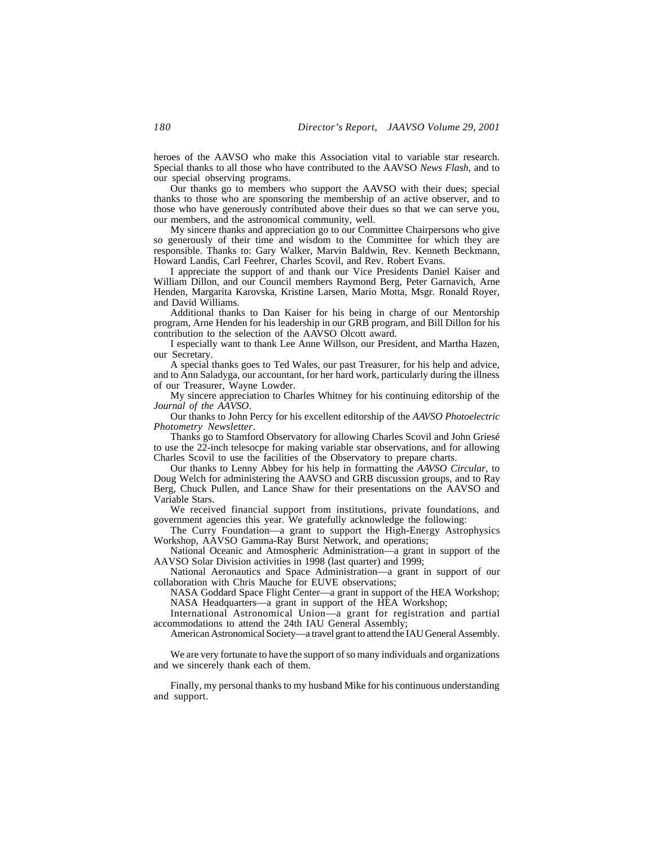heroes of the AAVSO who make this Association vital to variable star research. Special thanks to all those who have contributed to the AAVSO *News Flash*, and to our special observing programs.

Our thanks go to members who support the AAVSO with their dues; special thanks to those who are sponsoring the membership of an active observer, and to those who have generously contributed above their dues so that we can serve you, our members, and the astronomical community, well.

My sincere thanks and appreciation go to our Committee Chairpersons who give so generously of their time and wisdom to the Committee for which they are responsible. Thanks to: Gary Walker, Marvin Baldwin, Rev. Kenneth Beckmann, Howard Landis, Carl Feehrer, Charles Scovil, and Rev. Robert Evans.

I appreciate the support of and thank our Vice Presidents Daniel Kaiser and William Dillon, and our Council members Raymond Berg, Peter Garnavich, Arne Henden, Margarita Karovska, Kristine Larsen, Mario Motta, Msgr. Ronald Royer, and David Williams.

Additional thanks to Dan Kaiser for his being in charge of our Mentorship program, Arne Henden for his leadership in our GRB program, and Bill Dillon for his contribution to the selection of the AAVSO Olcott award.

I especially want to thank Lee Anne Willson, our President, and Martha Hazen, our Secretary.

A special thanks goes to Ted Wales, our past Treasurer, for his help and advice, and to Ann Saladyga, our accountant, for her hard work, particularly during the illness of our Treasurer, Wayne Lowder.

My sincere appreciation to Charles Whitney for his continuing editorship of the *Journal of the AAVSO*.

Our thanks to John Percy for his excellent editorship of the *AAVSO Photoelectric Photometry Newsletter*.

Thanks go to Stamford Observatory for allowing Charles Scovil and John Griesé to use the 22-inch telesocpe for making variable star observations, and for allowing Charles Scovil to use the facilities of the Observatory to prepare charts.

Our thanks to Lenny Abbey for his help in formatting the *AAVSO Circular*, to Doug Welch for administering the AAVSO and GRB discussion groups, and to Ray Berg, Chuck Pullen, and Lance Shaw for their presentations on the AAVSO and Variable Stars.

We received financial support from institutions, private foundations, and government agencies this year. We gratefully acknowledge the following:

The Curry Foundation—a grant to support the High-Energy Astrophysics Workshop, AAVSO Gamma-Ray Burst Network, and operations;

National Oceanic and Atmospheric Administration—a grant in support of the AAVSO Solar Division activities in 1998 (last quarter) and 1999;

National Aeronautics and Space Administration—a grant in support of our collaboration with Chris Mauche for EUVE observations;

NASA Goddard Space Flight Center—a grant in support of the HEA Workshop; NASA Headquarters—a grant in support of the HEA Workshop;

International Astronomical Union—a grant for registration and partial accommodations to attend the 24th IAU General Assembly;

American Astronomical Society—a travel grant to attend the IAU General Assembly.

We are very fortunate to have the support of so many individuals and organizations and we sincerely thank each of them.

Finally, my personal thanks to my husband Mike for his continuous understanding and support.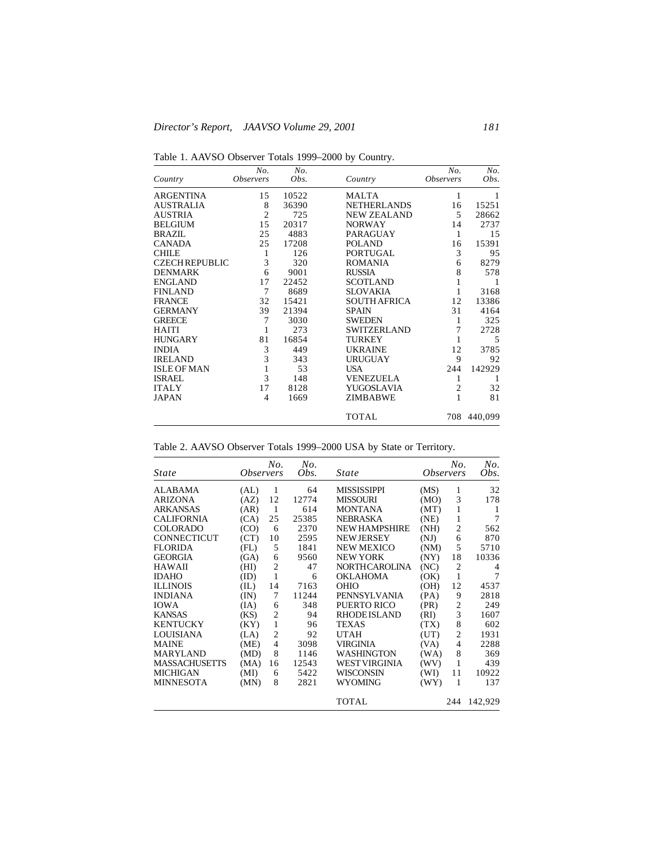Table 1. AAVSO Observer Totals 1999–2000 by Country.

|                       | No.                     | No.   |                     | No.              | No.         |
|-----------------------|-------------------------|-------|---------------------|------------------|-------------|
| Country               | <i><b>Observers</b></i> | Obs.  | Country             | <b>Observers</b> | Obs.        |
| <b>ARGENTINA</b>      | 15                      | 10522 | <b>MALTA</b>        | 1                | 1           |
| <b>AUSTRALIA</b>      | 8                       | 36390 | <b>NETHERLANDS</b>  | 16               | 15251       |
| <b>AUSTRIA</b>        | $\overline{2}$          | 725   | <b>NEW ZEALAND</b>  | 5                | 28662       |
| <b>BELGIUM</b>        | 15                      | 20317 | <b>NORWAY</b>       | 14               | 2737        |
| <b>BRAZIL</b>         | 25                      | 4883  | <b>PARAGUAY</b>     | 1                | 15          |
| <b>CANADA</b>         | 25                      | 17208 | <b>POLAND</b>       | 16               | 15391       |
| <b>CHILE</b>          | 1                       | 126   | <b>PORTUGAL</b>     | 3                | 95          |
| <b>CZECH REPUBLIC</b> | 3                       | 320   | <b>ROMANIA</b>      | 6                | 8279        |
| <b>DENMARK</b>        | 6                       | 9001  | <b>RUSSIA</b>       | 8                | 578         |
| <b>ENGLAND</b>        | 17                      | 22452 | <b>SCOTLAND</b>     | 1                | 1           |
| <b>FINLAND</b>        | 7                       | 8689  | <b>SLOVAKIA</b>     | 1                | 3168        |
| <b>FRANCE</b>         | 32                      | 15421 | <b>SOUTH AFRICA</b> | 12               | 13386       |
| <b>GERMANY</b>        | 39                      | 21394 | <b>SPAIN</b>        | 31               | 4164        |
| <b>GREECE</b>         | 7                       | 3030  | <b>SWEDEN</b>       | 1                | 325         |
| <b>HAITI</b>          | 1                       | 273   | <b>SWITZERLAND</b>  | 7                | 2728        |
| <b>HUNGARY</b>        | 81                      | 16854 | <b>TURKEY</b>       | 1                | 5           |
| <b>INDIA</b>          | 3                       | 449   | <b>UKRAINE</b>      | 12               | 3785        |
| <b>IRELAND</b>        | 3                       | 343   | <b>URUGUAY</b>      | 9                | 92          |
| <b>ISLE OF MAN</b>    | $\mathbf{1}$            | 53    | <b>USA</b>          | 244              | 142929      |
| <b>ISRAEL</b>         | 3                       | 148   | <b>VENEZUELA</b>    | 1                | 1           |
| <b>ITALY</b>          | 17                      | 8128  | YUGOSLAVIA          | $\overline{2}$   | 32          |
| <b>JAPAN</b>          | $\overline{4}$          | 1669  | ZIMBABWE            | 1                | 81          |
|                       |                         |       | TOTAL               |                  | 708 440,099 |

|  |  |  | Table 2. AAVSO Observer Totals 1999-2000 USA by State or Territory. |
|--|--|--|---------------------------------------------------------------------|
|  |  |  |                                                                     |

| State           | <i><b>Observers</b></i> | No.            | No.<br>Obs. | <i>State</i>         | <i><b>Observers</b></i> | No.            | No.<br>Obs. |
|-----------------|-------------------------|----------------|-------------|----------------------|-------------------------|----------------|-------------|
| ALABAMA         | (AL)                    | 1              | 64          | MISSISSIPPI          | (MS)                    | 1              | 32          |
| <b>ARIZONA</b>  | (AZ)                    | 12             | 12774       | <b>MISSOURI</b>      | (MO)                    | 3              | 178         |
| <b>ARKANSAS</b> | (AR)                    | $\mathbf{1}$   | 614         | <b>MONTANA</b>       | (MT)                    | 1              | 1           |
| CALIFORNIA      | (CA)                    | 25             | 25385       | <b>NEBRASKA</b>      | (NE)                    | 1              | 7           |
| COLORADO        | (CO)                    | 6              | 2370        | <b>NEW HAMPSHIRE</b> | (NH)                    | $\overline{c}$ | 562         |
| CONNECTICUT     | (CT)                    | 10             | 2595        | <b>NEW JERSEY</b>    | (NJ)                    | 6              | 870         |
| <b>FLORIDA</b>  | (FL)                    | 5              | 1841        | <b>NEW MEXICO</b>    | (NM)                    | 5              | 5710        |
| <b>GEORGIA</b>  | (GA)                    | 6              | 9560        | <b>NEW YORK</b>      | (NY)                    | 18             | 10336       |
| HAWAII          | (HI)                    | $\overline{c}$ | 47          | <b>NORTHCAROLINA</b> | (NC)                    | $\overline{2}$ | 4           |
| IDAHO           | (ID)                    | $\mathbf{1}$   | 6           | OKLAHOMA             | (OK)                    | 1              | 7           |
| <b>ILLINOIS</b> | (IL)                    | 14             | 7163        | OHIO                 | (OH)                    | 12             | 4537        |
| <b>INDIANA</b>  | (IN)                    | 7              | 11244       | <b>PENNSYLVANIA</b>  | (PA)                    | 9              | 2818        |
| IOWA            | (IA)                    | 6              | 348         | PUERTO RICO          | (PR)                    | $\overline{c}$ | 249         |
| <b>KANSAS</b>   | (KS)                    | $\overline{c}$ | 94          | <b>RHODEISLAND</b>   | (RI)                    | 3              | 1607        |
| <b>KENTUCKY</b> | (KY)                    | 1              | 96          | <b>TEXAS</b>         | (TX)                    | 8              | 602         |
| LOUISIANA       | (LA)                    | $\overline{c}$ | 92          | UTAH                 | (UT)                    | $\overline{c}$ | 1931        |
| MAINE           | (ME)                    | $\overline{4}$ | 3098        | <b>VIRGINIA</b>      | (VA)                    | $\overline{4}$ | 2288        |
| MARYLAND        | (MD)                    | 8              | 1146        | WASHINGTON           | (WA)                    | 8              | 369         |
| MASSACHUSETTS   | (MA)                    | 16             | 12543       | WEST VIRGINIA        | (WV)                    | 1              | 439         |
| MICHIGAN        | (MI)                    | 6              | 5422        | WISCONSIN            | (WI)                    | 11             | 10922       |
| MINNESOTA       | (MN)                    | 8              | 2821        | WYOMING              | (WY)                    | 1              | 137         |
|                 |                         |                |             | TOTAL                |                         | 244            | 142,929     |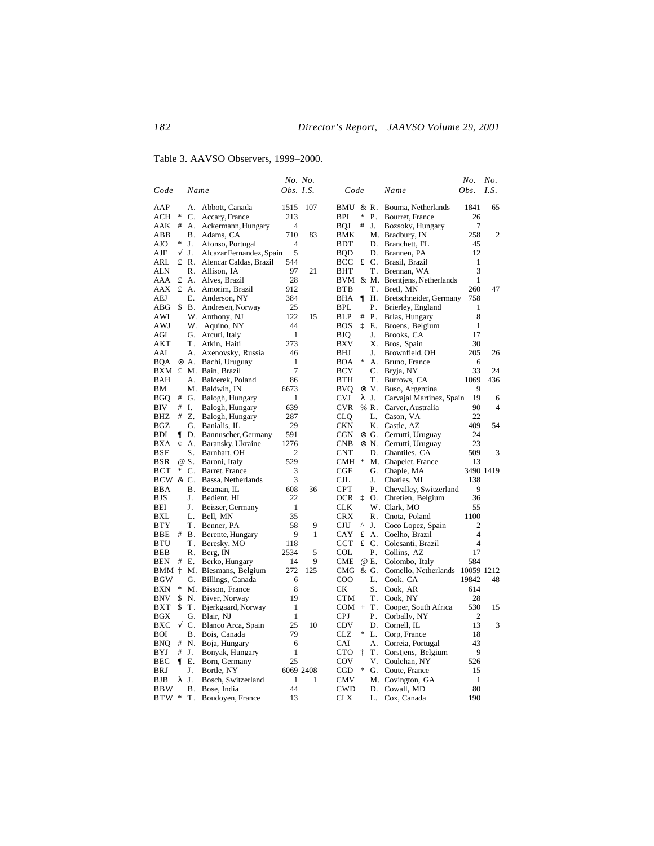Table 3. AAVSO Observers, 1999–2000.

|                         |   |             |                                       |                  | No. No.   |                          |    |            |                               | No.                 | No.            |
|-------------------------|---|-------------|---------------------------------------|------------------|-----------|--------------------------|----|------------|-------------------------------|---------------------|----------------|
| Code                    |   | Name        |                                       | <i>Obs. I.S.</i> |           | Code                     |    |            | Name                          | Obs.                | I.S.           |
| AAP                     |   | А.          | Abbott, Canada                        | 1515             | 107       | BMU                      |    | & R.       | Bouma, Netherlands            | 1841                | 65             |
| $\ast$<br>ACH           |   | С.          | Accary, France                        | 213              |           | <b>BPI</b>               | *  | Ρ.         | Bourret, France               | 26                  |                |
| #<br>AAK                |   | А.          | Ackermann, Hungary                    | $\overline{4}$   |           | <b>BOJ</b>               | #  | J.         | Bozsoky, Hungary              | 7                   |                |
| ABB                     |   | Β.          | Adams, CA                             | 710              | 83        | BMK                      |    |            | M. Bradbury, IN               | 258                 | $\overline{2}$ |
| *<br>AJO                |   | J.          | Afonso, Portugal                      | 4                |           | BDT                      |    | D.         | Branchett, FL                 | 45                  |                |
| $\sqrt{}$<br>AJF        |   | J.          | Alcazar Fernandez, Spain              | 5                |           | <b>BQD</b>               |    | D.         | Brannen, PA                   | 12                  |                |
| ARL                     |   | £ R.        | Alencar Caldas, Brazil                | 544              |           | BCC                      |    | £ C.       | Brasil, Brazil                | 1                   |                |
| <b>ALN</b>              |   |             | R. Allison, IA                        | 97               | 21        | BHT                      |    | Т.         | Brennan, WA                   | 3                   |                |
| AAA<br>£                |   | A.          | Alves, Brazil                         | 28               |           | BVM                      |    |            | & M. Brentjens, Netherlands   | 1                   |                |
| AAX                     |   | £ A.        | Amorim, Brazil                        | 912              |           | <b>BTB</b>               |    | Τ.         | Bretl, MN                     | 260                 | 47             |
| AEJ                     |   | Е.          | Anderson, NY                          | 384              |           | <b>BHA</b>               | ¶  | Н.         | Bretschneider, Germany        | 758                 |                |
| ABG<br>\$               |   | В.          | Andresen, Norway                      | 25               |           | <b>BPL</b>               |    | Р.         | Brierley, England             | 1                   |                |
| AWI                     |   |             | W. Anthony, NJ                        | 122              | 15        | <b>BLP</b>               | #  | Ρ.         | Brlas, Hungary                | 8                   |                |
| AWJ                     |   |             | W. Aquino, NY                         | 44               |           | <b>BOS</b>               | ţ. | Ε.         | Broens, Belgium               | 1                   |                |
| AGI<br>AKT              |   | Τ.          | G. Arcuri, Italy                      | 1<br>273         |           | <b>BJQ</b><br><b>BXV</b> |    | J.<br>Х.   | Brooks, CA                    | 17<br>30            |                |
| AAI                     |   | А.          | Atkin, Haiti                          | 46               |           | BHJ                      |    | J.         | Bros, Spain<br>Brownfield, OH | 205                 | 26             |
| BQA                     |   | ⊗ A.        | Axenovsky, Russia<br>Bachi, Uruguay   | 1                |           | BOA                      | *  | A.         | Bruno, France                 | 6                   |                |
|                         |   |             | BXM £ M. Bain, Brazil                 | 7                |           | BCY                      |    | C.         | Bryja, NY                     | 33                  | 24             |
| BAH                     |   | А.          | Balcerek, Poland                      | 86               |           | <b>BTH</b>               |    | Т.         | Burrows, CA                   | 1069                | 436            |
| BМ                      |   |             | M. Baldwin, IN                        | 6673             |           | <b>BVO</b>               |    | ⊗V.        | Buso, Argentina               | 9                   |                |
| <b>BGQ</b><br>#         |   |             | G. Balogh, Hungary                    | 1                |           | <b>CVJ</b>               |    | λJ.        | Carvajal Martinez, Spain      | 19                  | 6              |
| BIV                     |   | $#$ I.      | Balogh, Hungary                       | 639              |           | <b>CVR</b>               |    | % R.       | Carver, Australia             | 90                  | $\overline{4}$ |
| BHZ                     | # | Z.          | Balogh, Hungary                       | 287              |           | <b>CLQ</b>               |    | L.         | Cason, VA                     | 22                  |                |
| <b>BGZ</b>              |   | G.          | Banialis, IL                          | 29               |           | <b>CKN</b>               |    | K.         | Castle, AZ                    | 409                 | 54             |
| BDI<br>ſ                |   | D.          | Bannuscher, Germany                   | 591              |           | CGN                      |    | ⊗ G.       | Cerrutti, Uruguay             | 24                  |                |
| BXA<br>¢                |   | А.          | Baransky, Ukraine                     | 1276             |           | <b>CNB</b>               |    | ⊗ N.       | Cerrutti, Uruguay             | 23                  |                |
| BSF                     |   | S.          | Barnhart, OH                          | 2                |           | <b>CNT</b>               |    | D.         | Chantiles, CA                 | 509                 | 3              |
| BSR                     |   | @ S.        | Baroni, Italy                         | 529              |           | <b>CMH</b>               | *  |            | M. Chapelet, France           | 13                  |                |
| <b>BCT</b>              | * | C.          | Barret, France                        | 3                |           | CGF                      |    | G.         | Chaple, MA                    |                     | 3490 1419      |
| BCW & C.                |   |             | Bassa, Netherlands                    | 3                |           | $_{\rm CJL}$             |    | J.         | Charles, MI                   | 138                 |                |
| <b>BBA</b>              |   | <b>B.</b>   | Beaman, IL                            | 608              | 36        | <b>CPT</b>               |    | Ρ.         | Chevalley, Switzerland        | 9                   |                |
| BJS                     |   | J.          | Bedient, HI                           | 22               |           | <b>OCR</b>               | ţ  |            | O. Chretien, Belgium          | 36                  |                |
| BEI                     |   | J.          | Beisser, Germany                      | 1                |           | <b>CLK</b>               |    |            | W. Clark, MO                  | 55                  |                |
| BXL                     |   | L.          | Bell, MN                              | 35               |           | <b>CRX</b>               |    | R.         | Cnota, Poland                 | 1100                |                |
| BTY                     |   | Τ.          | Benner, PA                            | 58               | 9         | CJU                      | Λ  | J.         | Coco Lopez, Spain             | 2                   |                |
| BBE                     |   | # B.        | Berente, Hungary                      | 9                | 1         | CAY                      | £  | А.         | Coelho, Brazil                | 4                   |                |
| BTU                     |   | Τ.          | Beresky, MO                           | 118              |           | <b>CCT</b>               |    | £ C.       | Colesanti, Brazil             | $\overline{4}$      |                |
| BEB                     |   | R.          | Berg, IN                              | 2534             | 5         | COL                      |    | Ρ.         | Collins, AZ                   | 17                  |                |
| BEN<br>#                |   | Ε.          | Berko, Hungary                        | 14               | 9         | <b>CME</b>               |    | @ E.       | Colombo, Italy                | 584                 |                |
| BMM ‡<br>BGW            |   | М.<br>G.    | Biesmans, Belgium                     | 272<br>6         | 125       | CMG<br>$_{\rm COO}$      |    | & G.<br>L. | Comello, Netherlands          | 10059 1212<br>19842 | 48             |
| *<br>BXN                |   |             | Billings, Canada<br>M. Bisson, France | 8                |           | СK                       |    | S.         | Cook, CA<br>Cook, AR          | 614                 |                |
| <b>BNV</b><br>\$        |   | N.          | Biver, Norway                         | 19               |           | <b>CTM</b>               |    | <b>T</b> . | Cook, NY                      | 28                  |                |
| \$<br>BXT               |   | <b>T</b> .  | Bjerkgaard, Norway                    | 1                |           | $COM +$                  |    | Т.         | Cooper, South Africa          | 530                 | 15             |
| <b>BGX</b>              |   | G.          | Blair, NJ                             | $\mathbf{1}$     |           | <b>CPJ</b>               |    | Ρ.         | Corbally, NY                  | $\mathfrak{2}$      |                |
| <b>BXC</b><br>$\sqrt{}$ |   | $C_{\cdot}$ | Blanco Arca, Spain                    | 25               | 10        | <b>CDV</b>               |    | D.         | Cornell, IL                   | 13                  | 3              |
| BOI                     |   | В.          | Bois, Canada                          | 79               |           | CLZ                      | *  | L.         | Corp, France                  | 18                  |                |
| BNO<br>#                |   | N.          | Boja, Hungary                         | 6                |           | CAI                      |    | А.         | Correia, Portugal             | 43                  |                |
| BYJ<br>#                |   | J.          | Bonyak, Hungary                       | 1                |           | <b>CTO</b>               | İ  | Т.         | Corstjens, Belgium            | 9                   |                |
| BEC<br>1                |   | Е.          | Born, Germany                         | 25               |           | COV                      |    | V.         | Coulehan, NY                  | 526                 |                |
| BRJ                     |   | J.          | Bortle, NY                            |                  | 6069 2408 | CGD                      | *  | G.         | Coute, France                 | 15                  |                |
| BJB                     |   | λJ.         | Bosch, Switzerland                    | 1                | 1         | <b>CMV</b>               |    |            | M. Covington, GA              | $\mathbf{1}$        |                |
| <b>BBW</b>              |   | Β.          | Bose, India                           | 44               |           | <b>CWD</b>               |    | D.         | Cowall, MD                    | 80                  |                |
| BTW *                   |   | T.          | Boudoyen, France                      | 13               |           | <b>CLX</b>               |    | L.         | Cox, Canada                   | 190                 |                |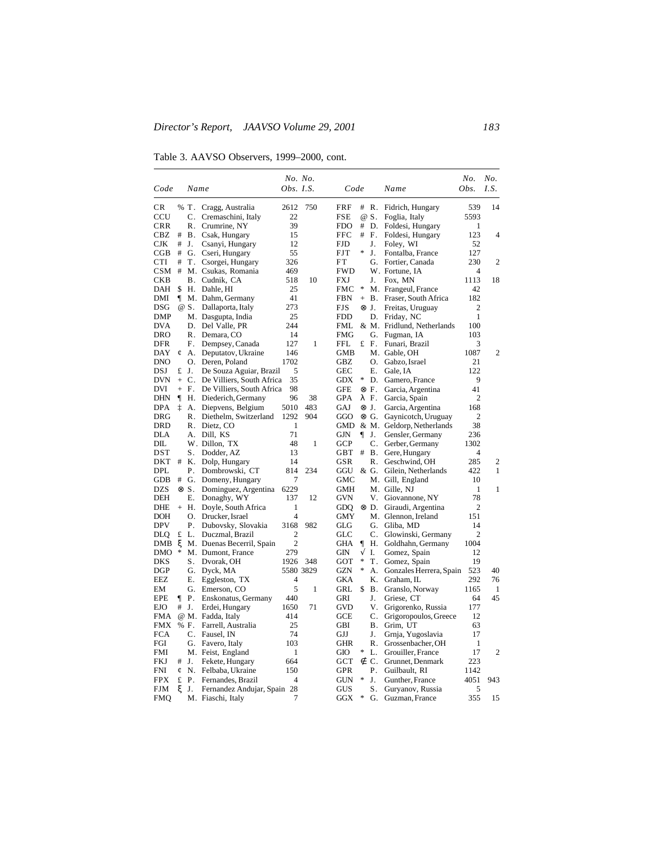Table 3. AAVSO Observers, 1999–2000, cont.

| Code         |         | Name         |                             | No. No.<br>Obs. I.S. |              | Code         |              |                | Name                       | No.<br>Obs.    | No.<br>I.S.    |
|--------------|---------|--------------|-----------------------------|----------------------|--------------|--------------|--------------|----------------|----------------------------|----------------|----------------|
| CR           |         | % T.         | Cragg, Australia            | 2612                 | 750          | FRF          | #            | R.             | Fidrich, Hungary           | 539            | 14             |
| CCU          |         | C.           | Cremaschini, Italy          | 22                   |              | FSE          |              | @ S.           | Foglia, Italy              | 5593           |                |
| <b>CRR</b>   |         | R.           | Crumrine, NY                | 39                   |              | <b>FDO</b>   | #            | D.             | Foldesi, Hungary           | 1              |                |
| CBZ          | #       | В.           | Csak, Hungary               | 15                   |              | FFC          | #            | F.             | Foldesi, Hungary           | 123            | $\overline{4}$ |
| <b>CJK</b>   | #       | J.           | Csanyi, Hungary             | 12                   |              | <b>FJD</b>   |              | J.             | Foley, WI                  | 52             |                |
| $_{\rm CGB}$ | #       | G.           | Cseri, Hungary              | 55                   |              | <b>FJT</b>   | $\ast$       | J.             | Fontalba, France           | 127            |                |
| <b>CTI</b>   | #       | T.           | Csorgei, Hungary            | 326                  |              | FT           |              | G.             | Fortier, Canada            | 230            | 2              |
| <b>CSM</b>   | #       |              | M. Csukas, Romania          | 469                  |              | <b>FWD</b>   |              |                | W. Fortune, IA             | 4              |                |
| CKB          |         | В.           | Cudnik, CA                  | 518                  | 10           | FXJ          |              | J.             | Fox, MN                    | 1113           | 18             |
| DAH          | \$      | Н.           | Dahle, HI                   | 25                   |              | FMC          | *            |                | M. Frangeul, France        | 42             |                |
| DMI          | 1       |              | M. Dahm, Germany            | 41                   |              | <b>FBN</b>   |              | $+$ B.         | Fraser, South Africa       | 182            |                |
| DSG          |         | @ S.         | Dallaporta, Italy           | 273                  |              | FJS          | $\otimes$ J. |                | Freitas, Uruguay           | 2              |                |
| DMP          |         |              | M. Dasgupta, India          | 25                   |              | <b>FDD</b>   |              | D.             | Friday, NC                 | 1              |                |
| DVA          |         | D.           | Del Valle, PR               | 244                  |              | FML          |              |                | & M. Fridlund, Netherlands | 100            |                |
| DRO          |         | R.           | Demara, CO                  | 14                   |              | <b>FMG</b>   |              | G.             | Fugman, IA                 | 103            |                |
| DFR          |         | F.           | Dempsey, Canada             | 127                  | 1            | <b>FFL</b>   |              | £ F.           | Funari, Brazil             | 3              |                |
| DAY          | ¢       | А.           | Deputatov, Ukraine          | 146                  |              | GMB          |              |                | M. Gable, OH               | 1087           | 2              |
| DNO          |         | О.           | Deren, Poland               | 1702                 |              | GBZ          |              | O.             | Gabzo, Israel              | 21             |                |
| DSJ          | £       | J.           | De Souza Aguiar, Brazil     | 5                    |              | GEC          |              | Е.             | Gale, IA                   | 122            |                |
| DVN          | $^{+}$  | C.           | De Villiers, South Africa   | 35                   |              | GDX          | *            | D.             | Gamero, France             | 9              |                |
| DVI          | $+$     | F.           | De Villiers, South Africa   | 98                   |              | GFE          |              | ⊗F.            | Garcia, Argentina          | 41             |                |
| DHN          | $\P$    | Н.           | Diederich, Germany          | 96                   | 38           | GPA          |              | λF.            | Garcia, Spain              | 2              |                |
| <b>DPA</b>   | İ       | А.           | Diepvens, Belgium           | 5010                 | 483          | GAJ          |              | $\otimes$ J.   | Garcia, Argentina          | 168            |                |
| DRG          |         | R.           | Diethelm, Switzerland       | 1292                 | 904          | GGO          |              | ⊗ G.           | Gaynicotch, Uruguay        | 2              |                |
| DRD          |         | R.           | Dietz, CO                   | 1                    |              | GMD          |              |                | & M. Geldorp, Netherlands  | 38             |                |
| DLA          |         | А.           | Dill, KS                    | 71                   |              | GJN          | ſ            | J.             | Gensler, Germany           | 236            |                |
| DIL          |         |              | W. Dillon, TX               | 48                   | $\mathbf{1}$ | <b>GCP</b>   |              | C.             | Gerber, Germany            | 1302           |                |
| DST          |         | S.           | Dodder, AZ                  | 13                   |              | $_{\rm GBT}$ | #            | <b>B.</b>      | Gere, Hungary              | 4              |                |
| DKT          | #       | Κ.           | Dolp, Hungary               | 14                   |              | GSR          |              | R.             | Geschwind, OH              | 285            | 2              |
| DPL          |         | Ρ.           | Dombrowski, CT              | 814                  | 234          | GGU          |              | & G.           | Gilein, Netherlands        | 422            | 1              |
| GDB          | #       | G.           | Domeny, Hungary             | 7                    |              | GMC          |              |                | M. Gill, England           | 10             |                |
| DZS          |         | $\otimes$ S. | Dominguez, Argentina        | 6229                 |              | GMH          |              |                | M. Gille, NJ               | 1              | 1              |
| DEH          |         | Ε.           | Donaghy, WY                 | 137                  | 12           | GVN          |              | V.             | Giovannone, NY             | 78             |                |
| <b>DHE</b>   |         | $+$ H.       | Doyle, South Africa         | $\mathbf{1}$         |              | GDO          |              | ⊗ D.           | Giraudi, Argentina         | $\overline{2}$ |                |
| DOH          |         | О.           | Drucker, Israel             | 4                    |              | GMY          |              |                | M. Glennon, Ireland        | 151            |                |
| <b>DPV</b>   |         | Р.           | Dubovsky, Slovakia          | 3168                 | 982          | GLG          |              | G.             | Gliba, MD                  | 14             |                |
| DLQ          | £       | L.           | Duczmal, Brazil             | $\overline{c}$       |              | GLC          |              | C.             | Glowinski, Germany         | $\overline{c}$ |                |
| DMB          | ξ       |              | M. Duenas Becerril, Spain   | $\overline{2}$       |              | GHA          | 1            | Н.             | Goldhahn, Germany          | 1004           |                |
| DMO          | *       |              | M. Dumont, France           | 279                  |              | GIN          | V            | I.             | Gomez, Spain               | 12             |                |
| DKS          |         | S.           | Dvorak, OH                  | 1926                 | 348          | GOT          | $\ast$       | Τ.             | Gomez, Spain               | 19             |                |
| DGP          |         | G.           | Dyck, MA                    | 5580 3829            |              | <b>GZN</b>   | *            | А.             | Gonzales Herrera, Spain    | 523            | 40             |
| EEZ          |         | Е.           | Eggleston, TX               | 4                    |              | GKA          |              | Κ.             | Graham, IL                 | 292            | 76             |
| EМ           |         | G.           | Emerson, CO                 | 5                    | 1            | GRL          | \$           | Β.             | Granslo, Norway            | 1165           | 1              |
| <b>EPE</b>   | ſ       | Ρ.           | Enskonatus, Germany         | 440                  |              | GRI          |              | J.             | Griese, CT                 | 64             | 45             |
| <b>EJO</b>   | $^{\#}$ | J.           | Erdei, Hungary              | 1650                 | 71           | <b>GVD</b>   |              | V.             | Grigorenko, Russia         | 177            |                |
| FMA          |         |              | @ M. Fadda, Italy           | 414                  |              | GCE          |              | C.             | Grigoropoulos, Greece      | 12             |                |
| <b>FMX</b>   |         | % F.         | Farrell, Australia          | 25                   |              | GBI          |              | <b>B.</b>      | Grim, UT                   | 63             |                |
| <b>FCA</b>   |         | С.           | Fausel, IN                  | 74                   |              | GJJ          |              | J.             | Grnja, Yugoslavia          | 17             |                |
| FGI          |         | G.           | Favero, Italy               | 103                  |              | GHR          |              | R.             | Grossenbacher, OH          | 1              |                |
| FMI          |         |              | M. Feist, England           | 1                    |              | GIO          | *            | L.             | Grouiller, France          | 17             | 2              |
| FKJ          | #       | J.           | Fekete, Hungary             | 664                  |              | GCT          | ∉            | $\mathbf{C}$ . | Grunnet, Denmark           | 223            |                |
| <b>FNI</b>   | ¢       | N.           | Felbaba, Ukraine            | 150                  |              | GPR          |              | Ρ.             | Guilbault, RI              | 1142           |                |
| FPX          | £       | Ρ.           | Fernandes, Brazil           | 4                    |              | GUN          | *            | J.             | Gunther, France            | 4051           | 943            |
| FJM          | ξ       | J.           | Fernandez Andujar, Spain 28 |                      |              | GUS          |              | S.             | Guryanov, Russia           | 5              |                |
| <b>FMQ</b>   |         |              | M. Fiaschi, Italy           | 7                    |              | <b>GGX</b>   | *            | G.             | Guzman, France             | 355            | 15             |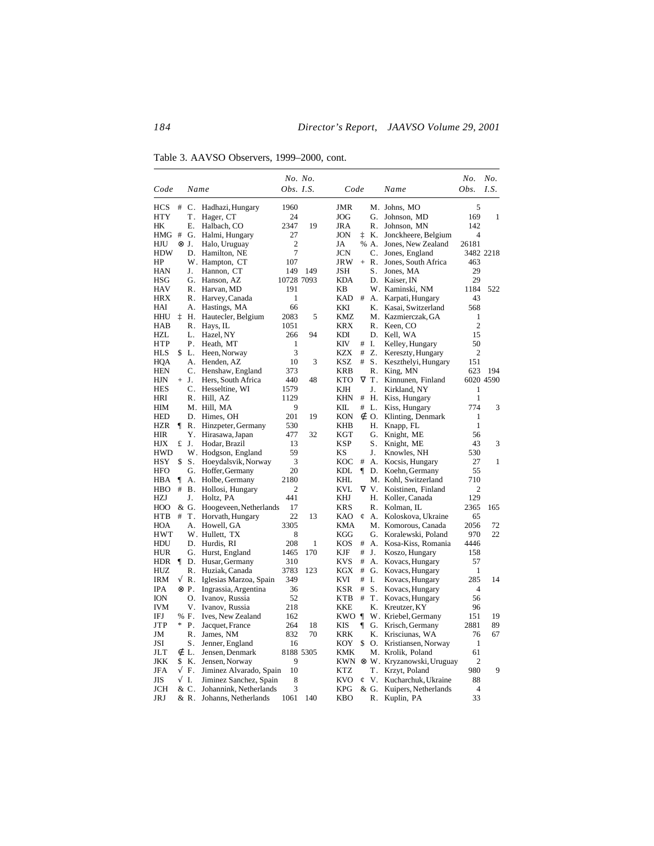Table 3. AAVSO Observers, 1999–2000, cont.

| Obs. I.S.<br>Obs.<br>Name<br>Code<br>Name<br>Code<br>5<br><b>HCS</b><br>#<br>$\mathbf{C}$ .<br>Hadhazi, Hungary<br>1960<br><b>JMR</b><br>M. Johns, MO<br><b>HTY</b><br><b>JOG</b><br>169<br>Τ.<br>Hager, CT<br>24<br>G.<br>Johnson, MD<br>19<br>HК<br>Е.<br>Halbach, CO<br>2347<br><b>JRA</b><br>R.<br>Johnson, MN<br>142<br>ţ<br>HMG<br>#<br>G.<br>Halmi, Hungary<br>27<br><b>JON</b><br>K.<br>Jonckheere, Belgium<br>$\overline{4}$<br>⊗ J.<br>2<br>JA<br>% A.<br>Jones, New Zealand<br>26181<br>HJU<br>Halo, Uruguay<br>7<br>HDW<br>D.<br><b>JCN</b><br>C.<br>3482 2218<br>Hamilton, NE<br>Jones, England<br>HP<br>W. Hampton, CT<br>107<br>JRW<br>R.<br>Jones, South Africa<br>463<br>$+$<br>149<br><b>JSH</b><br>S.<br>Jones, MA<br>29<br>HAN<br>J.<br>Hannon, CT<br>149<br>29<br>HSG<br>G.<br>10728 7093<br>KDA<br>D.<br>Kaiser. IN<br>Hanson, AZ<br><b>HAV</b><br>191<br>W. Kaminski, NM<br>1184<br>R.<br>Harvan, MD<br>KΒ<br>HRX<br>R.<br>Harvey, Canada<br>1<br>KAD<br>#<br>Karpati, Hungary<br>43<br>А.<br>HAI<br>А.<br>Hastings, MA<br>66<br>KKI<br>Κ.<br>Kasai, Switzerland<br>568<br>ţ<br>HHU<br>Н.<br>Hautecler, Belgium<br>2083<br>5<br>KMZ<br>M. Kazmierczak, GA<br>1<br><b>KRX</b><br>$\overline{2}$<br>HAB<br>R.<br>Hays, IL<br>1051<br>R.<br>Keen, CO<br>HZL<br>L.<br>Hazel, NY<br>266<br>94<br>KDI<br>D.<br>Kell, WA<br>15<br>HTP<br>Ρ.<br>Heath, MT<br>1<br>KIV<br>#<br>Ι.<br>Kelley, Hungary<br>50<br>\$<br>3<br><b>KZX</b><br>#<br>Z.<br>Kereszty, Hungary<br>$\overline{c}$<br>HLS<br>L.<br>Heen, Norway<br><b>HQA</b><br>10<br>3<br><b>KSZ</b><br>#<br>А.<br>Henden, AZ<br>S.<br>Keszthelyi, Hungary<br>151<br><b>HEN</b><br>С.<br>Henshaw, England<br>373<br><b>KRB</b><br>R.<br>623<br>King, MN<br>VT.<br>6020 4590<br>HJN<br>$+$ J.<br>Hers, South Africa<br>440<br>48<br><b>KTO</b><br>Kinnunen, Finland<br>C.<br>J.<br><b>HES</b><br>Hesseltine, WI<br>1579<br>KJН<br>Kirkland, NY<br>1<br>$\mathbf{1}$<br>KHN | I.S. |
|----------------------------------------------------------------------------------------------------------------------------------------------------------------------------------------------------------------------------------------------------------------------------------------------------------------------------------------------------------------------------------------------------------------------------------------------------------------------------------------------------------------------------------------------------------------------------------------------------------------------------------------------------------------------------------------------------------------------------------------------------------------------------------------------------------------------------------------------------------------------------------------------------------------------------------------------------------------------------------------------------------------------------------------------------------------------------------------------------------------------------------------------------------------------------------------------------------------------------------------------------------------------------------------------------------------------------------------------------------------------------------------------------------------------------------------------------------------------------------------------------------------------------------------------------------------------------------------------------------------------------------------------------------------------------------------------------------------------------------------------------------------------------------------------------------------------------------------------------------------------------------------------------------------------------------------------|------|
|                                                                                                                                                                                                                                                                                                                                                                                                                                                                                                                                                                                                                                                                                                                                                                                                                                                                                                                                                                                                                                                                                                                                                                                                                                                                                                                                                                                                                                                                                                                                                                                                                                                                                                                                                                                                                                                                                                                                              |      |
|                                                                                                                                                                                                                                                                                                                                                                                                                                                                                                                                                                                                                                                                                                                                                                                                                                                                                                                                                                                                                                                                                                                                                                                                                                                                                                                                                                                                                                                                                                                                                                                                                                                                                                                                                                                                                                                                                                                                              |      |
|                                                                                                                                                                                                                                                                                                                                                                                                                                                                                                                                                                                                                                                                                                                                                                                                                                                                                                                                                                                                                                                                                                                                                                                                                                                                                                                                                                                                                                                                                                                                                                                                                                                                                                                                                                                                                                                                                                                                              | 1    |
|                                                                                                                                                                                                                                                                                                                                                                                                                                                                                                                                                                                                                                                                                                                                                                                                                                                                                                                                                                                                                                                                                                                                                                                                                                                                                                                                                                                                                                                                                                                                                                                                                                                                                                                                                                                                                                                                                                                                              |      |
|                                                                                                                                                                                                                                                                                                                                                                                                                                                                                                                                                                                                                                                                                                                                                                                                                                                                                                                                                                                                                                                                                                                                                                                                                                                                                                                                                                                                                                                                                                                                                                                                                                                                                                                                                                                                                                                                                                                                              |      |
|                                                                                                                                                                                                                                                                                                                                                                                                                                                                                                                                                                                                                                                                                                                                                                                                                                                                                                                                                                                                                                                                                                                                                                                                                                                                                                                                                                                                                                                                                                                                                                                                                                                                                                                                                                                                                                                                                                                                              |      |
|                                                                                                                                                                                                                                                                                                                                                                                                                                                                                                                                                                                                                                                                                                                                                                                                                                                                                                                                                                                                                                                                                                                                                                                                                                                                                                                                                                                                                                                                                                                                                                                                                                                                                                                                                                                                                                                                                                                                              |      |
|                                                                                                                                                                                                                                                                                                                                                                                                                                                                                                                                                                                                                                                                                                                                                                                                                                                                                                                                                                                                                                                                                                                                                                                                                                                                                                                                                                                                                                                                                                                                                                                                                                                                                                                                                                                                                                                                                                                                              |      |
|                                                                                                                                                                                                                                                                                                                                                                                                                                                                                                                                                                                                                                                                                                                                                                                                                                                                                                                                                                                                                                                                                                                                                                                                                                                                                                                                                                                                                                                                                                                                                                                                                                                                                                                                                                                                                                                                                                                                              |      |
|                                                                                                                                                                                                                                                                                                                                                                                                                                                                                                                                                                                                                                                                                                                                                                                                                                                                                                                                                                                                                                                                                                                                                                                                                                                                                                                                                                                                                                                                                                                                                                                                                                                                                                                                                                                                                                                                                                                                              |      |
|                                                                                                                                                                                                                                                                                                                                                                                                                                                                                                                                                                                                                                                                                                                                                                                                                                                                                                                                                                                                                                                                                                                                                                                                                                                                                                                                                                                                                                                                                                                                                                                                                                                                                                                                                                                                                                                                                                                                              | 522  |
|                                                                                                                                                                                                                                                                                                                                                                                                                                                                                                                                                                                                                                                                                                                                                                                                                                                                                                                                                                                                                                                                                                                                                                                                                                                                                                                                                                                                                                                                                                                                                                                                                                                                                                                                                                                                                                                                                                                                              |      |
|                                                                                                                                                                                                                                                                                                                                                                                                                                                                                                                                                                                                                                                                                                                                                                                                                                                                                                                                                                                                                                                                                                                                                                                                                                                                                                                                                                                                                                                                                                                                                                                                                                                                                                                                                                                                                                                                                                                                              |      |
|                                                                                                                                                                                                                                                                                                                                                                                                                                                                                                                                                                                                                                                                                                                                                                                                                                                                                                                                                                                                                                                                                                                                                                                                                                                                                                                                                                                                                                                                                                                                                                                                                                                                                                                                                                                                                                                                                                                                              |      |
|                                                                                                                                                                                                                                                                                                                                                                                                                                                                                                                                                                                                                                                                                                                                                                                                                                                                                                                                                                                                                                                                                                                                                                                                                                                                                                                                                                                                                                                                                                                                                                                                                                                                                                                                                                                                                                                                                                                                              |      |
|                                                                                                                                                                                                                                                                                                                                                                                                                                                                                                                                                                                                                                                                                                                                                                                                                                                                                                                                                                                                                                                                                                                                                                                                                                                                                                                                                                                                                                                                                                                                                                                                                                                                                                                                                                                                                                                                                                                                              |      |
|                                                                                                                                                                                                                                                                                                                                                                                                                                                                                                                                                                                                                                                                                                                                                                                                                                                                                                                                                                                                                                                                                                                                                                                                                                                                                                                                                                                                                                                                                                                                                                                                                                                                                                                                                                                                                                                                                                                                              |      |
|                                                                                                                                                                                                                                                                                                                                                                                                                                                                                                                                                                                                                                                                                                                                                                                                                                                                                                                                                                                                                                                                                                                                                                                                                                                                                                                                                                                                                                                                                                                                                                                                                                                                                                                                                                                                                                                                                                                                              |      |
|                                                                                                                                                                                                                                                                                                                                                                                                                                                                                                                                                                                                                                                                                                                                                                                                                                                                                                                                                                                                                                                                                                                                                                                                                                                                                                                                                                                                                                                                                                                                                                                                                                                                                                                                                                                                                                                                                                                                              |      |
|                                                                                                                                                                                                                                                                                                                                                                                                                                                                                                                                                                                                                                                                                                                                                                                                                                                                                                                                                                                                                                                                                                                                                                                                                                                                                                                                                                                                                                                                                                                                                                                                                                                                                                                                                                                                                                                                                                                                              | 194  |
|                                                                                                                                                                                                                                                                                                                                                                                                                                                                                                                                                                                                                                                                                                                                                                                                                                                                                                                                                                                                                                                                                                                                                                                                                                                                                                                                                                                                                                                                                                                                                                                                                                                                                                                                                                                                                                                                                                                                              |      |
|                                                                                                                                                                                                                                                                                                                                                                                                                                                                                                                                                                                                                                                                                                                                                                                                                                                                                                                                                                                                                                                                                                                                                                                                                                                                                                                                                                                                                                                                                                                                                                                                                                                                                                                                                                                                                                                                                                                                              |      |
| HRI<br>R.<br>Hill. AZ<br>1129<br>#<br>Н.<br>Kiss, Hungary                                                                                                                                                                                                                                                                                                                                                                                                                                                                                                                                                                                                                                                                                                                                                                                                                                                                                                                                                                                                                                                                                                                                                                                                                                                                                                                                                                                                                                                                                                                                                                                                                                                                                                                                                                                                                                                                                    |      |
| 774<br>M. Hill, MA<br>9<br>KIL.<br>#<br>$\mathbf{L}$<br>Kiss, Hungary<br>HІМ                                                                                                                                                                                                                                                                                                                                                                                                                                                                                                                                                                                                                                                                                                                                                                                                                                                                                                                                                                                                                                                                                                                                                                                                                                                                                                                                                                                                                                                                                                                                                                                                                                                                                                                                                                                                                                                                 | 3    |
| <b>HED</b><br>D.<br>Himes, OH<br>201<br>19<br>KON<br>O.<br>Klinting, Denmark<br>1<br>∉                                                                                                                                                                                                                                                                                                                                                                                                                                                                                                                                                                                                                                                                                                                                                                                                                                                                                                                                                                                                                                                                                                                                                                                                                                                                                                                                                                                                                                                                                                                                                                                                                                                                                                                                                                                                                                                       |      |
| Hinzpeter, Germany<br>530<br>1<br>HZR<br>R.<br>KHB<br>Н.<br>Knapp, FL                                                                                                                                                                                                                                                                                                                                                                                                                                                                                                                                                                                                                                                                                                                                                                                                                                                                                                                                                                                                                                                                                                                                                                                                                                                                                                                                                                                                                                                                                                                                                                                                                                                                                                                                                                                                                                                                        |      |
| <b>HIR</b><br>Y.<br>Hirasawa, Japan<br>477<br>32<br>KGT<br>G.<br>Knight, ME<br>56                                                                                                                                                                                                                                                                                                                                                                                                                                                                                                                                                                                                                                                                                                                                                                                                                                                                                                                                                                                                                                                                                                                                                                                                                                                                                                                                                                                                                                                                                                                                                                                                                                                                                                                                                                                                                                                            |      |
| HJX<br>£J.<br>Hodar, Brazil<br>13<br><b>KSP</b><br>S.<br>Knight, ME<br>43                                                                                                                                                                                                                                                                                                                                                                                                                                                                                                                                                                                                                                                                                                                                                                                                                                                                                                                                                                                                                                                                                                                                                                                                                                                                                                                                                                                                                                                                                                                                                                                                                                                                                                                                                                                                                                                                    | 3    |
| <b>HWD</b><br>W. Hodgson, England<br>59<br>KS<br>J.<br>530<br>Knowles, NH                                                                                                                                                                                                                                                                                                                                                                                                                                                                                                                                                                                                                                                                                                                                                                                                                                                                                                                                                                                                                                                                                                                                                                                                                                                                                                                                                                                                                                                                                                                                                                                                                                                                                                                                                                                                                                                                    |      |
| <b>HSY</b><br>3<br>27<br>\$<br>S.<br>Hoeydalsvik, Norway<br>KOC<br>#<br>Kocsis, Hungary<br>А.                                                                                                                                                                                                                                                                                                                                                                                                                                                                                                                                                                                                                                                                                                                                                                                                                                                                                                                                                                                                                                                                                                                                                                                                                                                                                                                                                                                                                                                                                                                                                                                                                                                                                                                                                                                                                                                | 1    |
| $\P$<br>55<br><b>HFO</b><br>G.<br>Hoffer, Germany<br>20<br>KDL<br>Koehn, Germany<br>D.                                                                                                                                                                                                                                                                                                                                                                                                                                                                                                                                                                                                                                                                                                                                                                                                                                                                                                                                                                                                                                                                                                                                                                                                                                                                                                                                                                                                                                                                                                                                                                                                                                                                                                                                                                                                                                                       |      |
| $\mathbf{I}$<br><b>KHL</b><br>Kohl, Switzerland<br>710<br>HBA<br>А.<br>Holbe, Germany<br>2180<br>М.                                                                                                                                                                                                                                                                                                                                                                                                                                                                                                                                                                                                                                                                                                                                                                                                                                                                                                                                                                                                                                                                                                                                                                                                                                                                                                                                                                                                                                                                                                                                                                                                                                                                                                                                                                                                                                          |      |
| VV.<br>$\overline{2}$<br>#<br><b>B</b> .<br>2<br>Koistinen. Finland<br>HBO<br>Hollosi, Hungary<br>KVL                                                                                                                                                                                                                                                                                                                                                                                                                                                                                                                                                                                                                                                                                                                                                                                                                                                                                                                                                                                                                                                                                                                                                                                                                                                                                                                                                                                                                                                                                                                                                                                                                                                                                                                                                                                                                                        |      |
| 129<br>HZJ<br>J.<br>441<br>KHJ<br>Н.<br>Holtz, PA<br>Koller, Canada                                                                                                                                                                                                                                                                                                                                                                                                                                                                                                                                                                                                                                                                                                                                                                                                                                                                                                                                                                                                                                                                                                                                                                                                                                                                                                                                                                                                                                                                                                                                                                                                                                                                                                                                                                                                                                                                          |      |
| HOO<br>& G.<br>Hoogeveen, Netherlands<br>17<br>KRS<br>R.<br>Kolman, IL<br>2365                                                                                                                                                                                                                                                                                                                                                                                                                                                                                                                                                                                                                                                                                                                                                                                                                                                                                                                                                                                                                                                                                                                                                                                                                                                                                                                                                                                                                                                                                                                                                                                                                                                                                                                                                                                                                                                               | 165  |
| HTB<br>#<br><b>T</b> .<br>Horvath, Hungary<br>22<br>13<br>KAO<br>A.<br>Koloskova, Ukraine<br>65<br>¢                                                                                                                                                                                                                                                                                                                                                                                                                                                                                                                                                                                                                                                                                                                                                                                                                                                                                                                                                                                                                                                                                                                                                                                                                                                                                                                                                                                                                                                                                                                                                                                                                                                                                                                                                                                                                                         |      |
| <b>HOA</b><br>Howell, GA<br>3305<br><b>KMA</b><br>M. Komorous, Canada<br>2056<br>А.                                                                                                                                                                                                                                                                                                                                                                                                                                                                                                                                                                                                                                                                                                                                                                                                                                                                                                                                                                                                                                                                                                                                                                                                                                                                                                                                                                                                                                                                                                                                                                                                                                                                                                                                                                                                                                                          | 72   |
| <b>HWT</b><br>8<br>970<br>W. Hullett, TX<br>KGG<br>G.<br>Koralewski, Poland                                                                                                                                                                                                                                                                                                                                                                                                                                                                                                                                                                                                                                                                                                                                                                                                                                                                                                                                                                                                                                                                                                                                                                                                                                                                                                                                                                                                                                                                                                                                                                                                                                                                                                                                                                                                                                                                  | 22   |
| HDU<br>208<br>1<br><b>KOS</b><br>#<br>Kosa-Kiss, Romania<br>4446<br>D.<br>Hurdis, RI<br>А.                                                                                                                                                                                                                                                                                                                                                                                                                                                                                                                                                                                                                                                                                                                                                                                                                                                                                                                                                                                                                                                                                                                                                                                                                                                                                                                                                                                                                                                                                                                                                                                                                                                                                                                                                                                                                                                   |      |
| HUR<br>Hurst, England<br>1465<br>170<br>KJF<br>#<br>J.<br>Koszo, Hungary<br>158<br>G.                                                                                                                                                                                                                                                                                                                                                                                                                                                                                                                                                                                                                                                                                                                                                                                                                                                                                                                                                                                                                                                                                                                                                                                                                                                                                                                                                                                                                                                                                                                                                                                                                                                                                                                                                                                                                                                        |      |
| 310<br><b>KVS</b><br>#<br>57<br>HDR<br>$\P$<br>D.<br>Husar, Germany<br>А.<br>Kovacs, Hungary                                                                                                                                                                                                                                                                                                                                                                                                                                                                                                                                                                                                                                                                                                                                                                                                                                                                                                                                                                                                                                                                                                                                                                                                                                                                                                                                                                                                                                                                                                                                                                                                                                                                                                                                                                                                                                                 |      |
| R.<br>3783<br>KGX<br>#<br>G.<br>Kovacs, Hungary<br>1<br>HUZ<br>Huziak, Canada<br>123                                                                                                                                                                                                                                                                                                                                                                                                                                                                                                                                                                                                                                                                                                                                                                                                                                                                                                                                                                                                                                                                                                                                                                                                                                                                                                                                                                                                                                                                                                                                                                                                                                                                                                                                                                                                                                                         |      |
| 285<br><b>IRM</b><br>√<br>$R_{\cdot}$<br>349<br>KVI<br>#<br>Ι.<br>Iglesias Marzoa, Spain<br>Kovacs, Hungary                                                                                                                                                                                                                                                                                                                                                                                                                                                                                                                                                                                                                                                                                                                                                                                                                                                                                                                                                                                                                                                                                                                                                                                                                                                                                                                                                                                                                                                                                                                                                                                                                                                                                                                                                                                                                                  | 14   |
| #<br>S.<br>IPA<br>⊗ P.<br>Ingrassia, Argentina<br>36<br><b>KSR</b><br>$\overline{4}$<br>Kovacs, Hungary                                                                                                                                                                                                                                                                                                                                                                                                                                                                                                                                                                                                                                                                                                                                                                                                                                                                                                                                                                                                                                                                                                                                                                                                                                                                                                                                                                                                                                                                                                                                                                                                                                                                                                                                                                                                                                      |      |
| 52<br>KTB<br>Т.<br>56<br>ΙOΝ<br>О.<br>Ivanov, Russia<br>#<br>Kovacs, Hungary                                                                                                                                                                                                                                                                                                                                                                                                                                                                                                                                                                                                                                                                                                                                                                                                                                                                                                                                                                                                                                                                                                                                                                                                                                                                                                                                                                                                                                                                                                                                                                                                                                                                                                                                                                                                                                                                 |      |
| IVM<br>V.<br>Ivanov, Russia<br>218<br>KKE<br>Κ.<br>Kreutzer, KY<br>96                                                                                                                                                                                                                                                                                                                                                                                                                                                                                                                                                                                                                                                                                                                                                                                                                                                                                                                                                                                                                                                                                                                                                                                                                                                                                                                                                                                                                                                                                                                                                                                                                                                                                                                                                                                                                                                                        |      |
| IFJ<br>% F.<br>Ives, New Zealand<br>162<br>KWO ¶<br>W. Kriebel, Germany<br>151                                                                                                                                                                                                                                                                                                                                                                                                                                                                                                                                                                                                                                                                                                                                                                                                                                                                                                                                                                                                                                                                                                                                                                                                                                                                                                                                                                                                                                                                                                                                                                                                                                                                                                                                                                                                                                                               | 19   |
| *<br>Ρ.<br>JTP<br>Jacquet, France<br>264<br>18<br>KIS<br>¶<br>G.<br>Krisch, Germany<br>2881                                                                                                                                                                                                                                                                                                                                                                                                                                                                                                                                                                                                                                                                                                                                                                                                                                                                                                                                                                                                                                                                                                                                                                                                                                                                                                                                                                                                                                                                                                                                                                                                                                                                                                                                                                                                                                                  | 89   |
| 70<br>76<br>JM<br>R.<br>James, NM<br>832<br>KRK<br>Κ.<br>Krisciunas, WA                                                                                                                                                                                                                                                                                                                                                                                                                                                                                                                                                                                                                                                                                                                                                                                                                                                                                                                                                                                                                                                                                                                                                                                                                                                                                                                                                                                                                                                                                                                                                                                                                                                                                                                                                                                                                                                                      | 67   |
| JSI<br>S.<br>Jenner, England<br>16<br><b>KOY</b><br>\$ O.<br>Kristiansen, Norway<br>1                                                                                                                                                                                                                                                                                                                                                                                                                                                                                                                                                                                                                                                                                                                                                                                                                                                                                                                                                                                                                                                                                                                                                                                                                                                                                                                                                                                                                                                                                                                                                                                                                                                                                                                                                                                                                                                        |      |
| JLT<br>Jensen, Denmark<br>8188 5305<br><b>KMK</b><br>M. Krolik, Poland<br>61<br>$\notin$ L.                                                                                                                                                                                                                                                                                                                                                                                                                                                                                                                                                                                                                                                                                                                                                                                                                                                                                                                                                                                                                                                                                                                                                                                                                                                                                                                                                                                                                                                                                                                                                                                                                                                                                                                                                                                                                                                  |      |
| JKK<br>\$<br>Κ.<br>9<br>$KWN \otimes W$ .<br>2<br>Jensen, Norway<br>Kryzanowski, Uruguay                                                                                                                                                                                                                                                                                                                                                                                                                                                                                                                                                                                                                                                                                                                                                                                                                                                                                                                                                                                                                                                                                                                                                                                                                                                                                                                                                                                                                                                                                                                                                                                                                                                                                                                                                                                                                                                     |      |
| $\sqrt{}$<br>F.<br>10<br>980<br>JFA<br>Jiminez Alvarado, Spain<br><b>KTZ</b><br>Τ.<br>Krzyt, Poland                                                                                                                                                                                                                                                                                                                                                                                                                                                                                                                                                                                                                                                                                                                                                                                                                                                                                                                                                                                                                                                                                                                                                                                                                                                                                                                                                                                                                                                                                                                                                                                                                                                                                                                                                                                                                                          | 9    |
| $\sqrt{}$<br>JIS<br>I.<br>8<br>88<br>Jiminez Sanchez, Spain<br>KVO<br>¢V.<br>Kucharchuk, Ukraine                                                                                                                                                                                                                                                                                                                                                                                                                                                                                                                                                                                                                                                                                                                                                                                                                                                                                                                                                                                                                                                                                                                                                                                                                                                                                                                                                                                                                                                                                                                                                                                                                                                                                                                                                                                                                                             |      |
| 3<br>& C.<br>& G.<br>$\overline{4}$<br>JCH<br>KPG<br>Johannink, Netherlands<br>Kuipers, Netherlands                                                                                                                                                                                                                                                                                                                                                                                                                                                                                                                                                                                                                                                                                                                                                                                                                                                                                                                                                                                                                                                                                                                                                                                                                                                                                                                                                                                                                                                                                                                                                                                                                                                                                                                                                                                                                                          |      |
| 33<br>JRJ<br>& R.<br>1061<br>140<br>KBO<br>Johanns, Netherlands<br>R.<br>Kuplin, PA                                                                                                                                                                                                                                                                                                                                                                                                                                                                                                                                                                                                                                                                                                                                                                                                                                                                                                                                                                                                                                                                                                                                                                                                                                                                                                                                                                                                                                                                                                                                                                                                                                                                                                                                                                                                                                                          |      |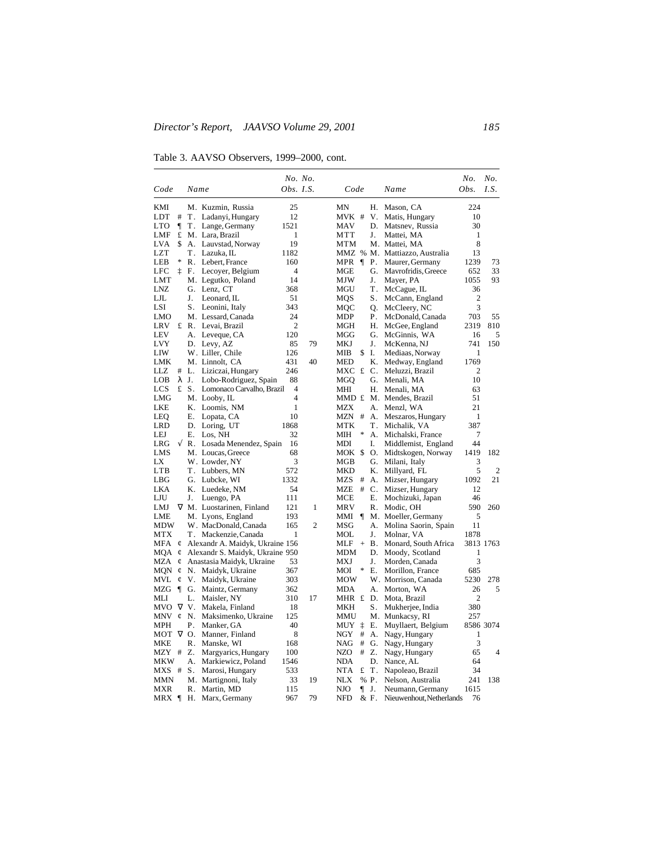Table 3. AAVSO Observers, 1999–2000, cont.

|                          |                   |                                 |                | No. No. |                                |                                    | No.            | No.       |
|--------------------------|-------------------|---------------------------------|----------------|---------|--------------------------------|------------------------------------|----------------|-----------|
| Code                     |                   | Name                            | Obs. I.S.      |         | Code                           | Name                               | Obs.           | I.S.      |
| KMI                      |                   | M. Kuzmin, Russia               | 25             |         | MN<br>Н.                       | Mason, CA                          | 224            |           |
| LDT<br>#                 | T.                | Ladanyi, Hungary                | 12             |         | MVK #<br>V.                    | Matis, Hungary                     | 10             |           |
| 1<br>LTO                 | Τ.                | Lange, Germany                  | 1521           |         | <b>MAV</b><br>D.               | Matsnev, Russia                    | 30             |           |
| LMF<br>£                 |                   | M. Lara, Brazil                 | 1              |         | <b>MTT</b><br>J.               | Mattei, MA                         | 1              |           |
| LVA<br>\$                | А.                | Lauvstad, Norway                | 19             |         | <b>MTM</b>                     | M. Mattei, MA                      | 8              |           |
| <b>LZT</b>               | Τ.                | Lazuka, IL                      | 1182           |         |                                | MMZ % M. Mattiazzo, Australia      | 13             |           |
| LEB<br>*                 |                   | R. Lebert, France               | 160            |         | $\P$<br>MPR<br>Ρ.              | Maurer, Germany                    | 1239           | 73        |
| LFC<br>İ                 | F.                | Lecoyer, Belgium                | $\overline{4}$ |         | MGE<br>G.                      | Mavrofridis, Greece                | 652            | 33        |
| LMT                      |                   | M. Legutko, Poland              | 14             |         | <b>MJW</b><br>J.               | Mayer, PA                          | 1055           | 93        |
| <b>LNZ</b>               | G.                | Lenz, CT                        | 368            |         | Τ.<br>MGU                      | McCague, IL                        | 36             |           |
| LJL                      | J.                | Leonard, IL                     | 51             |         | S.<br>MOS                      | McCann, England                    | $\overline{2}$ |           |
| LSI                      | S.                | Leonini, Italy                  | 343            |         | MOC<br>Q.                      | McCleery, NC                       | 3              |           |
| LMO                      |                   | M. Lessard, Canada              | 24             |         | <b>MDP</b><br>Р.               | McDonald, Canada                   | 703            | 55        |
| <b>LRV</b>               | £ R.              | Levai, Brazil                   | 2              |         | MGH<br>Н.                      | McGee, England                     | 2319           | 810       |
| <b>LEV</b><br><b>LVY</b> | А.                | Leveque, CA                     | 120            |         | MGG<br>G.<br>J.                | McGinnis, WA                       | 16<br>741      | 5         |
| LIW                      | D.                | Levy, AZ<br>W. Liller, Chile    | 85<br>126      | 79      | MKJ<br>MIB<br>\$<br>Ι.         | McKenna, NJ                        | 1              | 150       |
| LMK                      |                   | M. Linnolt, CA                  | 431            | 40      | <b>MED</b><br>Κ.               | Mediaas, Norway<br>Medway, England | 1769           |           |
| LLZ<br>#                 | L.                | Liziczai, Hungary               | 246            |         | MXC £ C.                       | Meluzzi, Brazil                    | $\overline{c}$ |           |
| <b>LOB</b><br>λ          | J.                | Lobo-Rodriguez, Spain           | 88             |         | G.<br>MGO                      | Menali, MA                         | 10             |           |
| LCS<br>£                 | S.                | Lomonaco Carvalho, Brazil       | 4              |         | MHI<br>Н.                      | Menali. MA                         | 63             |           |
| LMG                      |                   | M. Looby, IL                    | 4              |         | MMD £                          | M. Mendes, Brazil                  | 51             |           |
| LKE                      |                   | K. Loomis, NM                   | 1              |         | MZX<br>А.                      | Menzl, WA                          | 21             |           |
| LEO                      | Е.                | Lopata, CA                      | 10             |         | $MZN$ #<br>А.                  | Meszaros, Hungary                  | 1              |           |
| LRD                      |                   | D. Loring, UT                   | 1868           |         | MTK<br>Τ.                      | Michalik, VA                       | 387            |           |
| LEJ                      | Ε.                | Los, NH                         | 32             |         | *<br>MІН<br>А.                 | Michalski, France                  | 7              |           |
| √<br>LRG                 | R.                | Losada Menendez, Spain          | 16             |         | <b>MDI</b><br>I.               | Middlemist, England                | 44             |           |
| LMS                      |                   | M. Loucas, Greece               | 68             |         | MOK \$<br>О.                   | Midtskogen, Norway                 | 1419           | 182       |
| LX                       |                   | W. Lowder, NY                   | 3              |         | G.<br>MGB                      | Milani, Italy                      | 3              |           |
| LTB                      | Τ.                | Lubbers, MN                     | 572            |         | <b>MKD</b><br>Κ.               | Millyard, FL                       | 5              | 2         |
| LBG                      |                   | G. Lubcke, WI                   | 1332           |         | <b>MZS</b><br>#<br>А.          | Mizser, Hungary                    | 1092           | 21        |
| <b>LKA</b>               | Κ.                | Luedeke, NM                     | 54             |         | #<br>$C_{\cdot}$<br><b>MZE</b> | Mizser, Hungary                    | 12             |           |
| LJU                      | J.                | Luengo, PA                      | 111            |         | Е.<br>MCE                      | Mochizuki, Japan                   | 46             |           |
| LMJ                      |                   | V M. Luostarinen, Finland       | 121            | 1       | <b>MRV</b><br>R.               | Modic, OH                          | 590            | 260       |
| LME                      |                   | M. Lyons, England               | 193            |         | MMI<br>ſ                       | M. Moeller, Germany                | 5              |           |
| MDW                      |                   | W. MacDonald, Canada            | 165            | 2       | MSG<br>А.                      | Molina Saorin, Spain               | 11             |           |
| MTX                      | Т.                | Mackenzie, Canada               | 1              |         | MOL<br>J.                      | Molnar, VA                         | 1878           |           |
| MFA<br>¢                 |                   | Alexandr A. Maidyk, Ukraine 156 |                |         | MLF<br>Β.<br>$\qquad \qquad +$ | Monard, South Africa               |                | 3813 1763 |
| MQA<br>¢                 |                   | Alexandr S. Maidyk, Ukraine 950 |                |         | MDM<br>D.                      | Moody, Scotland                    | 1              |           |
| MZA<br>¢                 |                   | Anastasia Maidyk, Ukraine       | 53<br>367      |         | <b>MXJ</b><br>J.<br>*<br>Е.    | Morden, Canada<br>Morillon, France | 3<br>685       |           |
| MQN<br>¢<br>MVL          | N.                | Maidyk, Ukraine                 | 303            |         | MOI<br><b>MOW</b>              | W. Morrison, Canada                | 5230           | 278       |
| ¢<br>$\P$<br>MZG         | V.<br>G.          | Maidyk, Ukraine                 | 362            |         | <b>MDA</b><br>А.               | Morton, WA                         | 26             | 5         |
| МLI                      | L.                | Maintz, Germany<br>Maisler, NY  | 310            | 17      | MHR £<br>D.                    | Mota, Brazil                       | $\overline{2}$ |           |
| MVO<br>V                 | V.                | Makela, Finland                 | 18             |         | MKH<br>S.                      | Mukherjee, India                   | 380            |           |
| MNV                      | $\mathfrak{C}$ N. | Maksimenko, Ukraine             | 125            |         | MMU                            | M. Munkacsy, RI                    | 257            |           |
| MPH                      | Ρ.                | Manker, GA                      | 40             |         | ţ<br><b>MUY</b><br>Е.          | Muyllaert, Belgium                 |                | 8586 3074 |
| мот                      | $\nabla$ O.       | Manner, Finland                 | 8              |         | NGY<br>#<br>А.                 | Nagy, Hungary                      | 1              |           |
| MKE                      | R.                | Manske, WI                      | 168            |         | <b>NAG</b><br>#<br>G.          | Nagy, Hungary                      | 3              |           |
| MZY #                    | Z.                | Margyarics, Hungary             | 100            |         | <b>NZO</b><br>#<br>Z.          | Nagy, Hungary                      | 65             | 4         |
| MKW                      | А.                | Markiewicz, Poland              | 1546           |         | <b>NDA</b><br>D.               | Nance, AL                          | 64             |           |
| MXS #                    | S.                | Marosi, Hungary                 | 533            |         | <b>NTA</b><br>£<br>Т.          | Napoleao, Brazil                   | 34             |           |
| MMN                      |                   | M. Martignoni, Italy            | 33             | 19      | <b>NLX</b><br>% P.             | Nelson, Australia                  | 241            | 138       |
| MXR                      | R.                | Martin, MD                      | 115            |         | <b>NJO</b><br>$\P$<br>J.       | Neumann, Germany                   | 1615           |           |
| MRX ¶                    | Н.                | Marx, Germany                   | 967            | 79      | <b>NFD</b><br>& F.             | Nieuwenhout, Netherlands           | 76             |           |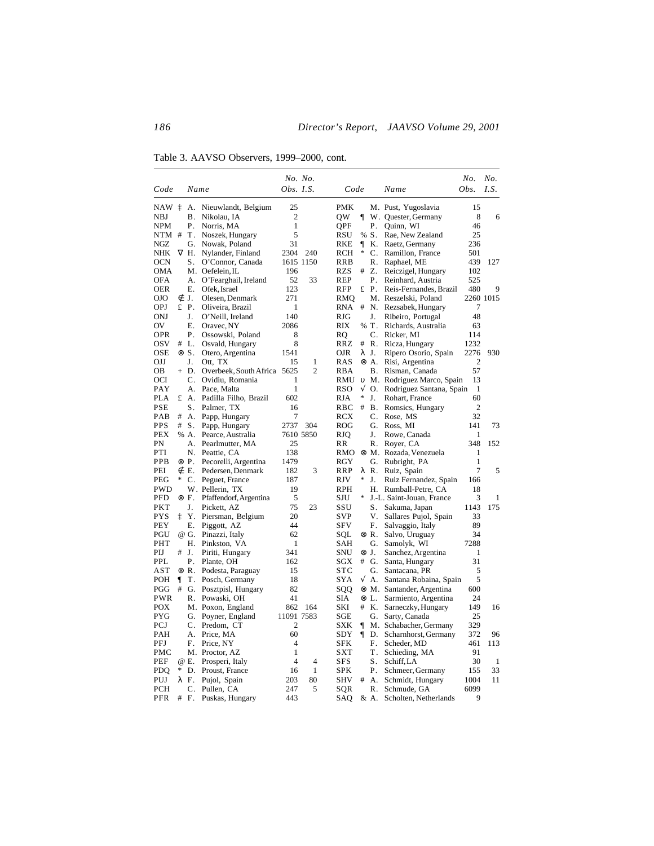Table 3. AAVSO Observers, 1999–2000, cont.

|                          |    |                |                            | No. No.          |                |                          |            |              |                                 | No.              | No.          |
|--------------------------|----|----------------|----------------------------|------------------|----------------|--------------------------|------------|--------------|---------------------------------|------------------|--------------|
| Code                     |    | Name           |                            | <i>Obs. I.S.</i> |                | Code                     |            |              | Name                            | Obs.             | I.S.         |
| NAW i                    |    | А.             | Nieuwlandt, Belgium        | 25               |                | <b>PMK</b>               |            |              | M. Pust, Yugoslavia             | 15               |              |
| <b>NBJ</b>               |    | В.             | Nikolau, IA                | 2                |                | QW                       | ſ          |              | W. Quester, Germany             | 8                | 6            |
| <b>NPM</b>               |    | Р.             | Norris, MA                 | 1                |                | QPF                      |            | Р.           | Quinn, WI                       | 46               |              |
| NTM #                    |    | Τ.             | Noszek, Hungary            | 5                |                | RSU                      |            | % S.         | Rae, New Zealand                | 25               |              |
| NGZ                      |    | G.             | Nowak, Poland              | 31               |                | RKE                      | ſ          | Κ.           | Raetz, Germany                  | 236              |              |
| <b>NHK</b>               |    | $\nabla$ H.    | Nylander, Finland          | 2304             | 240            | RCH                      | *          | C.           | Ramillon, France                | 501              |              |
| <b>OCN</b>               |    | S.             | O'Connor, Canada           | 1615 1150        |                | <b>RRB</b>               |            | R.           | Raphael, ME                     | 439              | 127          |
| <b>OMA</b>               |    |                | M. Oefelein, IL            | 196              |                | <b>RZS</b>               | #          | Z.           | Reiczigel, Hungary              | 102              |              |
| <b>OFA</b>               |    | А.             | O'Fearghail, Ireland       | 52               | 33             | <b>REP</b>               |            | Ρ.           | Reinhard, Austria               | 525              |              |
| OER                      |    | Е.             | Ofek, Israel               | 123              |                | RFP                      |            | £P.          | Reis-Fernandes, Brazil          | 480              | 9            |
| OJO                      | ∉  | J.             | Olesen, Denmark            | 271              |                | RMO                      |            |              | M. Reszelski, Poland            |                  | 2260 1015    |
| <b>OPJ</b>               |    | £P.            | Oliveira, Brazil           | 1                |                | <b>RNA</b>               | #          | N.           | Rezsabek, Hungary               | 7                |              |
| <b>ONJ</b>               |    | J.             | O'Neill, Ireland           | 140              |                | <b>RJG</b>               |            | J.           | Ribeiro, Portugal               | 48               |              |
| OV                       |    | Е.             | Oravec, NY                 | 2086             |                | <b>RIX</b>               |            | % T.         | Richards, Australia             | 63               |              |
| <b>OPR</b>               |    | Ρ.             | Ossowski, Poland           | 8                |                | RO                       |            | C.           | Ricker, MI                      | 114              |              |
| <b>OSV</b>               |    | # L.           | Osvald, Hungary            | 8                |                | RRZ                      | #          | R.           | Ricza, Hungary                  | 1232             |              |
| <b>OSE</b>               |    | ⊗ S.           | Otero, Argentina           | 1541             |                | OJR                      |            | λJ.          | Ripero Osorio, Spain            | 2276             | 930          |
| OJJ                      |    | J.             | Ott, TX                    | 15               | 1              | RAS                      |            | ⊗ A.         | Risi, Argentina                 | $\boldsymbol{2}$ |              |
| OВ                       |    | + D.           | Overbeek, South Africa     | 5625             | $\overline{2}$ | RBA                      |            | В.           | Risman, Canada                  | 57               |              |
| OCI                      |    | $\mathbf{C}$ . | Ovidiu, Romania            | 1                |                | RMU                      | $\upsilon$ |              | M. Rodriguez Marco, Spain       | 13               |              |
| <b>PAY</b>               |    | $A_{\cdot}$    | Pace, Malta                | 1                |                | RSO                      | $\sqrt{}$  | $\Omega$ .   | Rodriguez Santana, Spain        | 1                |              |
| <b>PLA</b>               |    | £ A.           | Padilla Filho, Brazil      | 602              |                | <b>RJA</b>               | *          | J.           | Rohart, France                  | 60               |              |
| <b>PSE</b>               |    | S.             | Palmer, TX                 | 16               |                | <b>RBC</b>               | #          | <b>B.</b>    | Romsics, Hungary                | $\mathfrak{2}$   |              |
| PAB                      | #  | А.             | Papp, Hungary              | 7                |                | RCX                      |            | C.           | Rose, MS                        | 32               |              |
| <b>PPS</b>               | #  | S.             | Papp, Hungary              | 2737             | 304            | ROG                      |            | G.           | Ross, MI                        | 141              | 73           |
| <b>PEX</b>               |    | % A.           | Pearce, Australia          | 7610 5850        |                | <b>RJQ</b>               |            | J.           | Rowe, Canada                    | $\mathbf{1}$     |              |
| PN                       |    | А.             | Pearlmutter, MA            | 25               |                | RR                       |            | R.           | Royer, CA                       | 348              | 152          |
| PTI                      |    | N.             | Peattie, CA                | 138              |                | RMO                      |            |              | ⊗ M. Rozada, Venezuela          | 1                |              |
| PPB                      |    | ⊗ P.           | Pecorelli, Argentina       | 1479             |                | RGY                      |            | G.           | Rubright, PA                    | $\mathbf{1}$     |              |
| PEI                      |    | ∉ E.           | Pedersen, Denmark          | 182              | 3              | RRP                      |            | λR.          | Ruiz, Spain                     | $\overline{7}$   | 5            |
| PEG                      | *  | $\mathbf{C}$ . | Peguet, France             | 187              |                | <b>RJV</b>               | *          | J.           | Ruiz Fernandez, Spain           | 166              |              |
| <b>PWD</b>               |    |                | W. Pellerin, TX            | 19               |                | <b>RPH</b>               |            | Н.           | Rumball-Petre, CA               | 18               |              |
| <b>PFD</b>               |    | ⊗ F.           | Pfaffendorf, Argentina     | 5                |                | SJU                      | ∗          |              | J.-L. Saint-Jouan, France       | 3                | 1            |
| PKT                      |    | J.             | Pickett, AZ                | 75               | 23             | SSU                      |            | S.           | Sakuma, Japan                   | 1143             | 175          |
| <b>PYS</b>               | İ. | Y.             | Piersman, Belgium          | 20               |                | <b>SVP</b>               |            | V.           | Sallares Pujol, Spain           | 33               |              |
| PEY                      |    | Е.             | Piggott, AZ                | 44               |                | <b>SFV</b>               |            | F.           | Salvaggio, Italy                | 89               |              |
| PGU                      |    | @ G.           | Pinazzi, Italy             | 62               |                | SQL                      |            | ⊗ R.         | Salvo, Uruguay                  | 34               |              |
| PHT                      |    | Н.             | Pinkston, VA               | 1                |                | <b>SAH</b>               |            | G.           | Samolyk, WI                     | 7288             |              |
| PIJ                      | #  | J.             | Piriti, Hungary            | 341              |                | SNU                      |            | $\otimes$ J. | Sanchez, Argentina              | 1                |              |
| PPL                      |    | Ρ.             | Plante, OH                 | 162              |                | <b>SGX</b>               |            | # G.         | Santa, Hungary                  | 31               |              |
| AST                      |    | ⊗ R.           | Podesta, Paraguay          | 15               |                | <b>STC</b>               |            | G.           | Santacana, PR                   | 5                |              |
| <b>POH</b>               | ¶  | Τ.             | Posch, Germany             | 18               |                | SYA                      | √          | А.           | Santana Robaina, Spain          | 5                |              |
| PGG                      | #  | G.             | Posztpisl, Hungary         | 82               |                | SQQ                      |            |              | ⊗ M. Santander, Argentina       | 600              |              |
| <b>PWR</b>               |    | R.             | Powaski, OH                | 41               |                | <b>SIA</b>               |            | ⊗ L.         | Sarmiento, Argentina            | 24               |              |
| <b>POX</b>               |    |                | M. Poxon, England          | 862              | 164            | SKI                      |            | # K.         | Sarneczky, Hungary              | 149              | 16           |
| <b>PYG</b>               |    | G.             | Poyner, England            | 11091 7583       |                | SGE                      |            | G.           | Sarty, Canada                   | 25               |              |
| PCJ                      |    | C.             | Predom, CT                 | 2                |                | <b>SXK</b>               | ¶          |              | M. Schabacher, Germany          | 329              |              |
| <b>PAH</b>               |    | А.             | Price, MA                  | 60               |                | SDY                      | ſ          | D.           | Scharnhorst, Germany            | 372              | 96           |
| <b>PFJ</b>               |    | F.             | Price, NY                  | 4                |                | <b>SFK</b>               |            | F.           | Scheder, MD                     | 461              | 113          |
| PMC                      |    |                | M. Proctor, AZ             | 1<br>4           | $\overline{4}$ | <b>SXT</b><br><b>SFS</b> |            | Τ.           | Schieding, MA                   | 91<br>30         | $\mathbf{1}$ |
| PEF                      | ∗  | @ E.           | Prosperi, Italy            |                  |                |                          |            | S.           | Schiff, LA                      |                  |              |
| <b>PDO</b><br><b>PUJ</b> |    | D.<br>λ F.     | Proust, France             | 16               | 1<br>80        | <b>SPK</b><br><b>SHV</b> | #          | Ρ.<br>A.     | Schmeer, Germany                | 155<br>1004      | 33<br>11     |
| <b>PCH</b>               |    | C.             | Pujol, Spain<br>Pullen, CA | 203<br>247       | 5              | SQR                      |            | R.           | Schmidt, Hungary<br>Schmude, GA | 6099             |              |
| PFR                      | #  | F.             | Puskas, Hungary            | 443              |                | <b>SAO</b>               |            | & A.         | Scholten, Netherlands           | 9                |              |
|                          |    |                |                            |                  |                |                          |            |              |                                 |                  |              |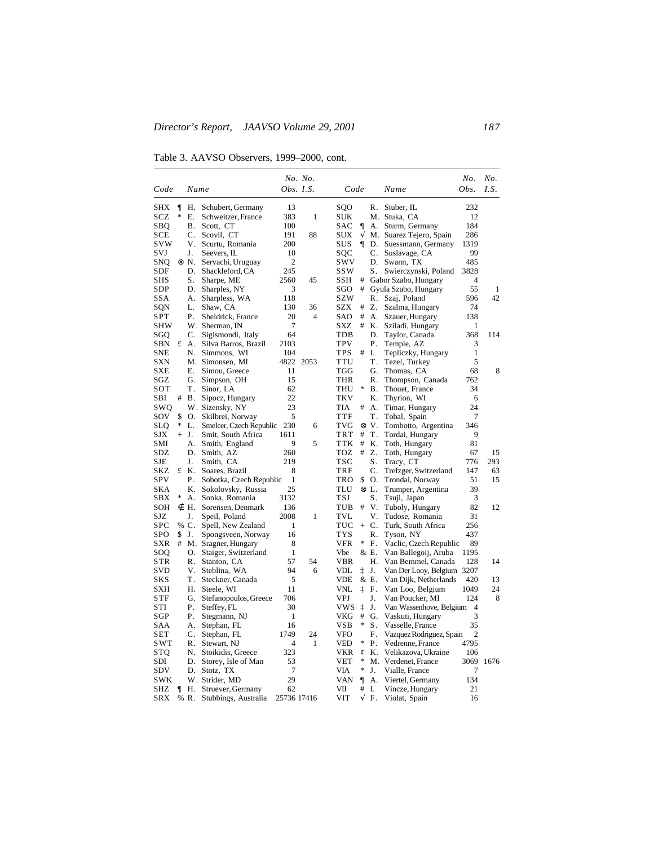Table 3. AAVSO Observers, 1999–2000, cont.

|                   |    |              |                                      |                | No. No. |                   |           |                |                                 | No.              | No.  |
|-------------------|----|--------------|--------------------------------------|----------------|---------|-------------------|-----------|----------------|---------------------------------|------------------|------|
| Code              |    | Name         |                                      | Obs. I.S.      |         | Code              |           |                | Name                            | Obs.             | I.S. |
| SHX               | 1  | Н.           | Schubert, Germany                    | 13             |         | <b>SOO</b>        |           | R.             | Stuber, IL                      | 232              |      |
| SCZ               | *  | Е.           | Schweitzer, France                   | 383            | 1       | SUK               |           |                | M. Stuka, CA                    | 12               |      |
| SBQ               |    | В.           | Scott, CT                            | 100            |         | <b>SAC</b>        |           | А.             | Sturm, Germany                  | 184              |      |
| <b>SCE</b>        |    | C.           | Scovil, CT                           | 191            | 88      | <b>SUX</b>        | $\sqrt{}$ |                | M. Suarez Tejero, Spain         | 286              |      |
| <b>SVW</b>        |    | V.           | Scurtu, Romania                      | 200            |         | <b>SUS</b>        | ¶         | D.             | Suessmann, Germany              | 1319             |      |
| SVJ               |    | J.           | Seevers, IL                          | 10             |         | SQC               |           | C.             | Suslavage, CA                   | 99               |      |
| SNQ               |    | $\otimes$ N. | Servachi, Uruguay                    | $\mathfrak{2}$ |         | SWV               |           | D.             | Swann, TX                       | 485              |      |
| SDF               |    | D.           | Shackleford, CA                      | 245            |         | ssw               |           | S.             | Swierczynski, Poland            | 3828             |      |
| SHS               |    | S.           | Sharpe, ME                           | 2560           | 45      | <b>SSH</b>        | #         |                | Gabor Szabo, Hungary            | 4                |      |
| SDP               |    | D.           | Sharples, NY                         | 3              |         | SGO               | #         |                | Gyula Szabo, Hungary            | 55               | 1    |
| SSA               |    | А.           | Sharpless, WA                        | 118            |         | <b>SZW</b>        |           | R.             | Szaj, Poland                    | 596              | 42   |
| SQN               |    | L.           | Shaw, CA                             | 130            | 36      | SZX               | #         | Z.             | Szalma, Hungary                 | 74               |      |
| <b>SPT</b>        |    | Ρ.           | Sheldrick, France                    | 20             | 4       | SAO               | $\#$      | А.             | Szauer, Hungary                 | 138              |      |
| SHW               |    |              | W. Sherman, IN                       | 7              |         | SXZ               | #         | К.             | Sziladi, Hungary                | 1                |      |
| SGQ               |    | C.           | Sigismondi, Italy                    | 64             |         | TDB               |           | D.             | Taylor, Canada                  | 368              | 114  |
| SBN               |    | £ A.         | Silva Barros, Brazil                 | 2103           |         | <b>TPV</b>        |           | Р.             | Temple, AZ                      | 3                |      |
| <b>SNE</b>        |    | N.           | Simmons, WI                          | 104            |         | <b>TPS</b>        | #         | Ι.             | Tepliczky, Hungary              | 1                |      |
| SXN               |    |              | M. Simonsen, MI                      | 4822           | 2053    | TTU               |           | Τ.             | Tezel, Turkey                   | 5                |      |
| <b>SXE</b>        |    | Е.           | Simou, Greece                        | 11             |         | <b>TGG</b>        |           | G.             | Thomas, CA                      | 68               | 8    |
| SGZ               |    | G.           | Simpson, OH                          | 15             |         | THR               |           | R.             | Thompson, Canada                | 762              |      |
| SOT               |    | Τ.           | Sinor, LA                            | 62             |         | <b>THU</b>        | *         | Β.             | Thouet, France                  | 34               |      |
| SBI               | #  | В.           | Sipocz, Hungary                      | 22             |         | <b>TKV</b>        |           | Κ.             | Thyrion, WI                     | 6                |      |
| swo               |    |              | W. Sizensky, NY                      | 23             |         | <b>TIA</b>        | #         | А.             | Timar, Hungary                  | 24               |      |
| sov               | \$ | О.           | Skilbrei, Norway                     | 5              |         | TTF               |           | Τ.             | Tobal, Spain                    | 7                |      |
| SLQ               | *  | L.           | Smelcer, Czech Republic              | 230            | 6       | <b>TVG</b>        |           | $\otimes$ V.   | Tombotto, Argentina             | 346              |      |
| SJX               |    | $+$ J.       | Smit, South Africa                   | 1611           |         | TRT               | #         | T.             | Tordai, Hungary                 | 9                |      |
| SMI               |    | А.           | Smith, England                       | 9              | 5       | <b>TTK</b>        | $\#$      | Κ.             | Toth, Hungary                   | 81               |      |
| SDZ               |    | D.           | Smith, AZ                            | 260            |         | TOZ               | #         | Z.             | Toth, Hungary                   | 67               | 15   |
| SJE               |    | J.           | Smith, CA                            | 219            |         | <b>TSC</b><br>TRF |           | S.             | Tracy, CT                       | 776              | 293  |
| SKZ<br><b>SPV</b> |    | £ K.         | Soares, Brazil                       | 8              |         |                   | \$        | C.<br>О.       | Trefzger, Switzerland           | 147              | 63   |
| SKA               |    | Ρ.<br>Κ.     | Sobotka, Czech Republic              | 1<br>25        |         | TRO<br>TLU        |           | ⊗L.            | Trondal, Norway                 | 51<br>39         | 15   |
| SBX               | *  | А.           | Sokolovsky, Russia<br>Sonka, Romania | 3132           |         | TSJ               |           | S.             | Trumper, Argentina              | 3                |      |
| SOH               |    | ∉ H.         | Sorensen, Denmark                    | 136            |         | TUB               | #         | V.             | Tsuji, Japan<br>Tuboly, Hungary | 82               | 12   |
| SJZ               |    | J.           | Speil, Poland                        | 2008           | 1       | <b>TVL</b>        |           | V.             | Tudose, Romania                 | 31               |      |
| <b>SPC</b>        |    | % C.         | Spell, New Zealand                   | 1              |         | TUC               | $+$       | C <sub>1</sub> | Turk, South Africa              | 256              |      |
| <b>SPO</b>        | \$ | J.           | Spongsveen, Norway                   | 16             |         | <b>TYS</b>        |           | R.             | Tyson, NY                       | 437              |      |
| SXR               | #  |              | M. Sragner, Hungary                  | 8              |         | VFR               | *         | F.             | Vaclic, Czech Republic          | 89               |      |
| SOO               |    | О.           | Staiger, Switzerland                 | $\mathbf{1}$   |         | Vbe               |           | & E.           | Van Ballegoij, Aruba            | 1195             |      |
| STR               |    | R.           | Stanton, CA                          | 57             | 54      | <b>VBR</b>        |           | Н.             | Van Bemmel, Canada              | 128              | 14   |
| SVD               |    | V.           | Steblina. WA                         | 94             | 6       | VDL               | ţ         | J.             | Van Der Looy, Belgium           | 3207             |      |
| SKS               |    | Τ.           | Steckner, Canada                     | 5              |         | VDE               |           | & E.           | Van Dijk, Netherlands           | 420              | 13   |
| SXH               |    | Н.           | Steele, WI                           | 11             |         | VNL               | İ.        | F.             | Van Loo, Belgium                | 1049             | 24   |
| STF               |    | G.           | Stefanopoulos, Greece                | 706            |         | VPJ               |           | J.             | Van Poucker, MI                 | 124              | 8    |
| STI               |    | Ρ.           | Steffey, FL                          | 30             |         | vws               | ţ         | J.             | Van Wassenhove, Belgium         | $\overline{4}$   |      |
| SGP               |    | Ρ.           | Stegmann, NJ                         | $\mathbf{1}$   |         | VKG               | $\#$      | G.             | Vaskuti, Hungary                | 3                |      |
| SAA               |    | A.           | Stephan, FL                          | 16             |         | <b>VSB</b>        | *         | $S_{-}$        | Vasselle, France                | 35               |      |
| <b>SET</b>        |    | C.           | Stephan, FL                          | 1749           | 24      | VFO               |           | F.             | Vazquez Rodriguez, Spain        | $\boldsymbol{2}$ |      |
| <b>SWT</b>        |    | R.           | Stewart, NJ                          | 4              | 1       | VED               | *         | Ρ.             | Vedrenne, France                | 4795             |      |
| <b>STQ</b>        |    | N.           | Stoikidis, Greece                    | 323            |         | VKR               | Ć         | Κ.             | Velikazova, Ukraine             | 106              |      |
| SDI               |    | D.           | Storey, Isle of Man                  | 53             |         | VET               | *         |                | M. Verdenet, France             | 3069             | 1676 |
| SDV               |    | D.           | Stotz, TX                            | 7              |         | VIA               | ∗         | J.             | Vialle, France                  | 7                |      |
| SWK               |    |              | W. Strider, MD                       | 29             |         | VAN               | 1         | А.             | Viertel, Germany                | 134              |      |
| SHZ               | ¶  | Η.           | Struever, Germany                    | 62             |         | VII               | #         | I.             | Vincze, Hungary                 | 21               |      |
| SRX               |    | % R.         | Stubbings, Australia                 | 25736 17416    |         | VIT               | V         | F.             | Violat, Spain                   | 16               |      |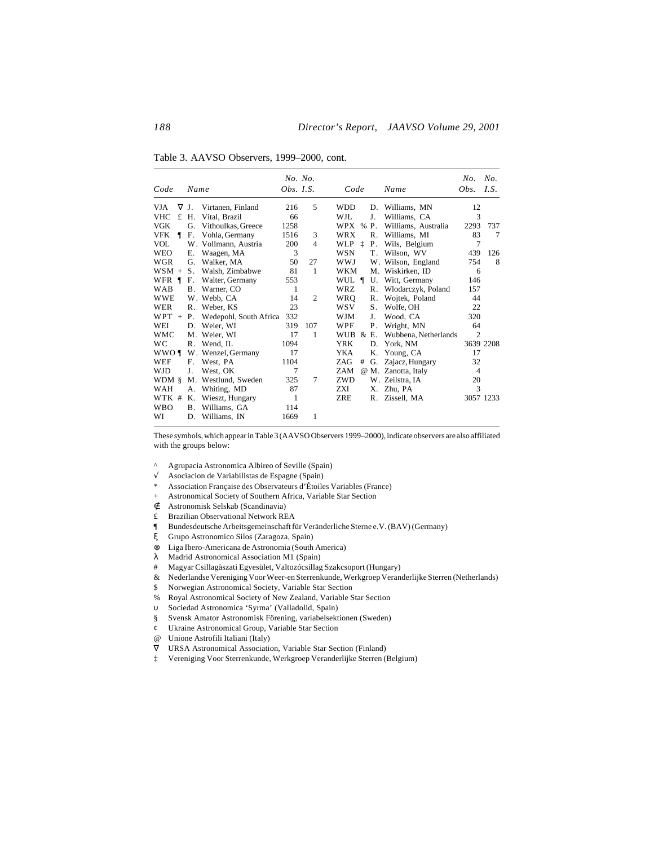Table 3. AAVSO Observers, 1999–2000, cont.

| Code                  | Name       |                        | No. No.<br><i>Obs. I.S.</i> |                | Code       |      |                | Name                 | No.<br>Obs.    | No.<br>I.S. |
|-----------------------|------------|------------------------|-----------------------------|----------------|------------|------|----------------|----------------------|----------------|-------------|
| <b>VJA</b><br>V       | J.         | Virtanen, Finland      | 216                         | 5              | <b>WDD</b> |      | D.             | Williams, MN         | 12             |             |
| £<br><b>VHC</b>       | Н.         | Vital, Brazil          | 66                          |                | WJL        |      | J.             | Williams, CA         | 3              |             |
| <b>VGK</b>            | G.         | Vithoulkas, Greece     | 1258                        |                | WPX        | $\%$ | Ρ.             | Williams, Australia  | 2293           | 737         |
| VFK<br>$\blacksquare$ | F.         | Vohla, Germany         | 1516                        | 3              | <b>WRX</b> |      | $\mathsf{R}$ . | Williams, MI         | 83             | 7           |
| <b>VOL</b>            |            | W. Vollmann, Austria   | 200                         | $\overline{4}$ | WLP 1      |      | Ρ.             | Wils, Belgium        | 7              |             |
| <b>WEO</b>            | Е.         | Waagen, MA             | 3                           |                | <b>WSN</b> |      | Т.             | Wilson, WV           | 439            | 126         |
| <b>WGR</b>            | G.         | Walker, MA             | 50                          | 27             | <b>WWJ</b> |      |                | W. Wilson, England   | 754            | 8           |
| <b>WSM</b><br>$^{+}$  | $S_{-}$    | Walsh, Zimbabwe        | 81                          | -1             | <b>WKM</b> |      |                | M. Wiskirken, ID     | 6              |             |
| WFR ¶                 | F.         | Walter, Germany        | 553                         |                | WUL ¶      |      | U.             | Witt, Germany        | 146            |             |
| <b>WAB</b>            | <b>B</b> . | Warner, CO             | 1                           |                | WRZ        |      | R.             | Wlodarczyk, Poland   | 157            |             |
| <b>WWE</b>            |            | W. Webb, CA            | 14                          | 2              | <b>WRQ</b> |      | R.             | Wojtek, Poland       | 44             |             |
| WER                   | R.         | Weber, KS              | 23                          |                | <b>WSV</b> |      | S.             | Wolfe, OH            | 22             |             |
| $WPT +$               | Ρ.         | Wedepohl, South Africa | 332                         |                | WJM        |      | J.             | Wood, CA             | 320            |             |
| <b>WEI</b>            | D.         | Weier, WI              | 319                         | 107            | WPF        |      | Ρ.             | Wright, MN           | 64             |             |
| <b>WMC</b>            | М.         | Weier. WI              | 17                          | 1              | <b>WUB</b> |      | $\&$ E.        | Wubbena, Netherlands | $\overline{c}$ |             |
| WС                    | R.         | Wend, IL               | 1094                        |                | YRK        |      | D.             | York, NM             |                | 3639 2208   |
| WWO ¶                 |            | W. Wenzel, Germany     | 17                          |                | YKA        |      | Κ.             | Young, CA            | 17             |             |
| WEF                   | F.         | West, PA               | 1104                        |                | ZAG        | #    | G.             | Zajacz, Hungary      | 32             |             |
| WJD                   | J.         | West, OK               | 7                           |                | <b>ZAM</b> |      |                | @ M. Zanotta, Italy  | $\overline{4}$ |             |
| WDM §                 | Μ.         | Westlund, Sweden       | 325                         | 7              | ZWD        |      |                | W. Zeilstra, IA      | 20             |             |
| <b>WAH</b>            | А.         | Whiting, MD            | 87                          |                | ZXI        |      | Х.             | Zhu, PA              | 3              |             |
| WTK #                 | Κ.         | Wieszt, Hungary        | 1                           |                | ZRE        |      | R.             | Zissell, MA          |                | 3057 1233   |
| <b>WBO</b>            | Β.         | Williams, GA           | 114                         |                |            |      |                |                      |                |             |
| WI                    | D.         | Williams, IN           | 1669                        | 1              |            |      |                |                      |                |             |

These symbols, which appear in Table 3 (AAVSO Observers 1999–2000), indicate observers are also affiliated with the groups below:

- ^ Agrupacia Astronomica Albireo of Seville (Spain)
- √ Asociacion de Variabilistas de Espagne (Spain)
- Association Française des Observateurs d'Étoiles Variables (France)
- + Astronomical Society of Southern Africa, Variable Star Section
- ∉ Astronomisk Selskab (Scandinavia)
- £ Brazilian Observational Network REA
- ¶ Bundesdeutsche Arbeitsgemeinschaft für Veränderliche Sterne e.V. (BAV) (Germany)
- ξ Grupo Astronomico Silos (Zaragoza, Spain)
- ⊗ Liga Ibero-Americana de Astronomia (South America)
- λ Madrid Astronomical Association M1 (Spain)
- # Magyar Csillagàszati Egyesület, Valtozócsillag Szakcsoport (Hungary)
- & Nederlandse Vereniging Voor Weer-en Sterrenkunde, Werkgroep Veranderlijke Sterren (Netherlands)
- \$ Norwegian Astronomical Society, Variable Star Section
- % Royal Astronomical Society of New Zealand, Variable Star Section
- υ Sociedad Astronomica 'Syrma' (Valladolid, Spain)
- § Svensk Amator Astronomisk Förening, variabelsektionen (Sweden)
- ¢ Ukraine Astronomical Group, Variable Star Section
- @ Unione Astrofili Italiani (Italy)
- ∇ URSA Astronomical Association, Variable Star Section (Finland)
- ‡ Vereniging Voor Sterrenkunde, Werkgroep Veranderlijke Sterren (Belgium)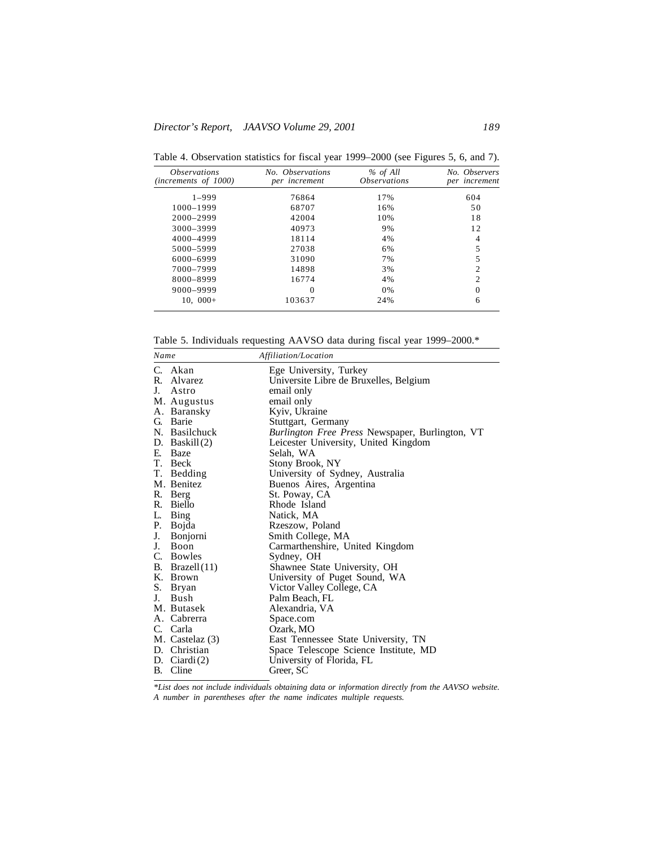| <i><b>Observations</b></i><br>(increments of 1000) | No. Observations<br>per increment | % of All<br><i><b>Observations</b></i> | No. Observers<br>per increment |
|----------------------------------------------------|-----------------------------------|----------------------------------------|--------------------------------|
| $1 - 999$                                          | 76864                             | 17%                                    | 604                            |
| 1000-1999                                          | 68707                             | 16%                                    | 50                             |
| 2000-2999                                          | 42004                             | 10%                                    | 18                             |
| 3000-3999                                          | 40973                             | 9%                                     | 12                             |
| 4000-4999                                          | 18114                             | 4%                                     | 4                              |
| 5000-5999                                          | 27038                             | 6%                                     | 5                              |
| 6000-6999                                          | 31090                             | 7%                                     | 5                              |
| 7000-7999                                          | 14898                             | 3%                                     | $\overline{c}$                 |
| 8000-8999                                          | 16774                             | 4%                                     | $\overline{c}$                 |
| 9000-9999                                          | $\Omega$                          | 0%                                     | $\theta$                       |
| $10.000+$                                          | 103637                            | 24%                                    | 6                              |

Table 4. Observation statistics for fiscal year 1999–2000 (see Figures 5, 6, and 7).

Table 5. Individuals requesting AAVSO data during fiscal year 1999–2000.\*

| Name        |                  | Affiliation/Location                            |
|-------------|------------------|-------------------------------------------------|
|             | C. Akan          | Ege University, Turkey                          |
|             | R. Alvarez       | Universite Libre de Bruxelles, Belgium          |
|             | J. Astro         | email only                                      |
|             | M. Augustus      | email only                                      |
|             | A. Baransky      | Kyiv, Ukraine                                   |
|             | G. Barie         | Stuttgart, Germany                              |
|             | N. Basilchuck    | Burlington Free Press Newspaper, Burlington, VT |
|             | D. Baskil $(2)$  | Leicester University, United Kingdom            |
| E.          | Baze             | Selah, WA                                       |
|             | T. Beck          | Stony Brook, NY                                 |
|             | T. Bedding       | University of Sydney, Australia                 |
|             | M. Benitez       | Buenos Aires, Argentina                         |
|             | R. Berg          | St. Poway, CA                                   |
|             | R. Biello        | Rhode Island                                    |
| L.          | Bing             | Natick, MA                                      |
|             | P. Bojda         | Rzeszow, Poland                                 |
| J.          | Bonjorni         | Smith College, MA                               |
| $J_{\cdot}$ | <b>Boon</b>      | Carmarthenshire, United Kingdom                 |
|             | C. Bowles        | Sydney, OH                                      |
|             | B. Brazel $(11)$ | Shawnee State University, OH                    |
|             | K. Brown         | University of Puget Sound, WA                   |
|             | S. Bryan         | Victor Valley College, CA                       |
| J.          | Bush             | Palm Beach, FL                                  |
|             | M. Butasek       | Alexandria, VA                                  |
|             | A. Cabrerra      | Space.com                                       |
|             | C. Carla         | Ozark, MO                                       |
|             | M. Castelaz (3)  | East Tennessee State University, TN             |
|             | D. Christian     | Space Telescope Science Institute, MD           |
|             | D. Ciardi $(2)$  | University of Florida, FL                       |
|             | B. Cline         | Greer, SC                                       |

*\*List does not include individuals obtaining data or information directly from the AAVSO website. A number in parentheses after the name indicates multiple requests.*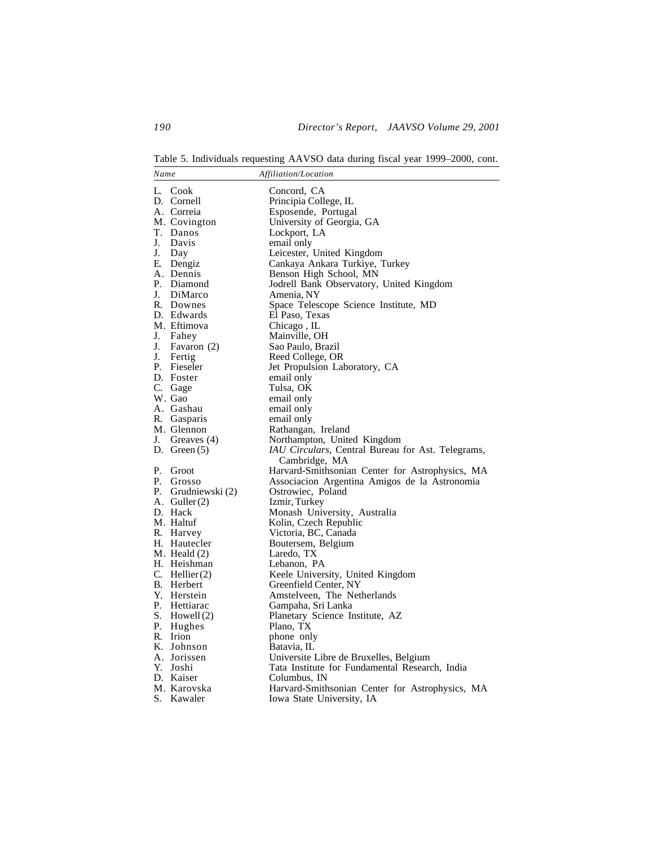Table 5. Individuals requesting AAVSO data during fiscal year 1999–2000, cont.

| Name |                   | Affiliation/Location                              |
|------|-------------------|---------------------------------------------------|
|      | L. Cook           | Concord, CA                                       |
|      | D. Cornell        | Principia College, IL                             |
|      | A. Correia        | Esposende, Portugal                               |
|      | M. Covington      | University of Georgia, GA                         |
|      |                   |                                                   |
| J.   | T. Danos<br>Davis | Lockport, LA                                      |
|      |                   | email only                                        |
| J.   | Day               | Leicester, United Kingdom                         |
|      | E. Dengiz         | Cankaya Ankara Turkiye, Turkey                    |
|      | A. Dennis         | Benson High School, MN                            |
|      | P. Diamond        | Jodrell Bank Observatory, United Kingdom          |
|      | J. DiMarco        | Amenia, NY                                        |
|      | R. Downes         | Space Telescope Science Institute, MD             |
|      | D. Edwards        | El Paso, Texas                                    |
|      | M. Eftimova       | Chicago, IL                                       |
| J.   | Fahey             | Mainville, OH                                     |
| J.   | Favaron (2)       | Sao Paulo, Brazil                                 |
| J.   | Fertig            | Reed College, OR                                  |
|      | P. Fieseler       | Jet Propulsion Laboratory, CA                     |
|      | D. Foster         | email only                                        |
|      | C. Gage           | Tulsa, OK                                         |
|      | W. Gao            | email only                                        |
|      | A. Gashau         | email only                                        |
|      | R. Gasparis       | email only                                        |
|      | M. Glennon        | Rathangan, Ireland                                |
|      | J. Greaves (4)    | Northampton, United Kingdom                       |
|      | D. Green $(5)$    | IAU Circulars, Central Bureau for Ast. Telegrams, |
|      |                   | Cambridge, MA                                     |
| Р.   | Groot             | Harvard-Smithsonian Center for Astrophysics, MA   |
|      | P. Grosso         | Associacion Argentina Amigos de la Astronomia     |
| Р.   | Grudniewski (2)   | Ostrowiec, Poland                                 |
|      | A. Guller $(2)$   | Izmir, Turkey                                     |
|      | D. Hack           | Monash University, Australia                      |
|      | M. Haltuf         | Kolin, Czech Republic                             |
|      | R. Harvey         | Victoria, BC, Canada                              |
|      | H. Hautecler      | Boutersem, Belgium                                |
|      | M. Heald (2)      | Laredo, TX                                        |
|      | H. Heishman       | Lebanon, PA                                       |
|      | C. Hellier $(2)$  | Keele University, United Kingdom                  |
|      | B. Herbert        | Greenfield Center, NY                             |
|      | Y. Herstein       | Amstelveen, The Netherlands                       |
|      | P. Hettiarac      | Gampaha, Sri Lanka                                |
|      | S. Howell (2)     | Planetary Science Institute, AZ                   |
| Р.   | Hughes            | Plano, TX                                         |
|      | R. Irion          | phone only                                        |
|      | K. Johnson        | Batavia, IL                                       |
|      | A. Jorissen       | Universite Libre de Bruxelles, Belgium            |
|      | Y. Joshi          | Tata Institute for Fundamental Research, India    |
|      | D. Kaiser         | Columbus, IN                                      |
|      | M. Karovska       | Harvard-Smithsonian Center for Astrophysics, MA   |
| S.   | Kawaler           | Iowa State University, IA                         |
|      |                   |                                                   |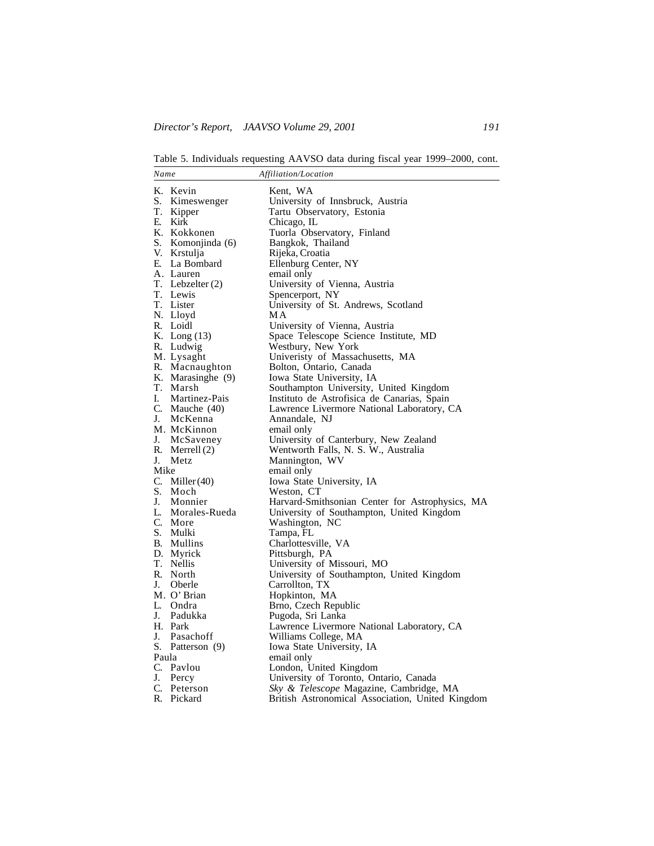Table 5. Individuals requesting AAVSO data during fiscal year 1999–2000, cont.

| Name  |                    | Affiliation/Location                             |
|-------|--------------------|--------------------------------------------------|
|       | K. Kevin           | Kent, WA                                         |
| S.    | Kimeswenger        | University of Innsbruck, Austria                 |
| T.    | Kipper             | Tartu Observatory, Estonia                       |
| E.    | Kirk               | Chicago, IL                                      |
|       | K. Kokkonen        | Tuorla Observatory, Finland                      |
|       | S. Komonjinda (6)  | Bangkok, Thailand                                |
|       | V. Krstulja        | Rijeka, Croatia                                  |
|       | E. La Bombard      | Ellenburg Center, NY                             |
|       | A. Lauren          | email only                                       |
|       | T. Lebzelter $(2)$ | University of Vienna, Austria                    |
|       | T. Lewis           | Spencerport, NY                                  |
|       | T. Lister          | University of St. Andrews, Scotland              |
|       | N. Lloyd           | МA                                               |
|       | R. Loidl           | University of Vienna, Austria                    |
|       | K. Long (13)       | Space Telescope Science Institute, MD            |
|       | R. Ludwig          | Westbury, New York                               |
|       | M. Lysaght         | Univeristy of Massachusetts, MA                  |
|       | R. Macnaughton     | Bolton, Ontario, Canada                          |
|       | K. Marasinghe (9)  | Iowa State University, IA                        |
|       | T. Marsh           | Southampton University, United Kingdom           |
| I.    | Martinez-Pais      | Instituto de Astrofísica de Canarias, Spain      |
|       | C. Mauche (40)     | Lawrence Livermore National Laboratory, CA       |
|       | J. McKenna         | Annandale, NJ                                    |
|       | M. McKinnon        | email only                                       |
| J.    | McSaveney          | University of Canterbury, New Zealand            |
|       | R. Merrell (2)     | Wentworth Falls, N. S. W., Australia             |
| J.    | Metz               | Mannington, WV                                   |
| Mike  |                    | email only                                       |
|       | C. Miller $(40)$   | Iowa State University, IA                        |
|       | S. Moch            | Weston, CT                                       |
|       | J. Monnier         | Harvard-Smithsonian Center for Astrophysics, MA  |
|       | L. Morales-Rueda   | University of Southampton, United Kingdom        |
|       | C. More            | Washington, NC                                   |
|       | S. Mulki           | Tampa, FL                                        |
|       | B. Mullins         | Charlottesville, VA                              |
|       | D. Myrick          | Pittsburgh, PA                                   |
|       | T. Nellis          | University of Missouri, MO                       |
|       | R. North           | University of Southampton, United Kingdom        |
|       | J. Oberle          | Carrollton, TX                                   |
|       | M. O' Brian        | Hopkinton, MA                                    |
|       | L. Ondra           | Brno, Czech Republic                             |
|       | J. Padukka         | Pugoda, Sri Lanka                                |
|       | H. Park            | Lawrence Livermore National Laboratory, CA       |
| J.    | Pasachoff          | Williams College, MA                             |
|       | S. Patterson (9)   | Iowa State University, IA                        |
| Paula |                    | email only                                       |
|       | C. Pavlou          | London, United Kingdom                           |
| J.    | Percy              | University of Toronto, Ontario, Canada           |
|       | C. Peterson        | Sky & Telescope Magazine, Cambridge, MA          |
| R.    | Pickard            | British Astronomical Association, United Kingdom |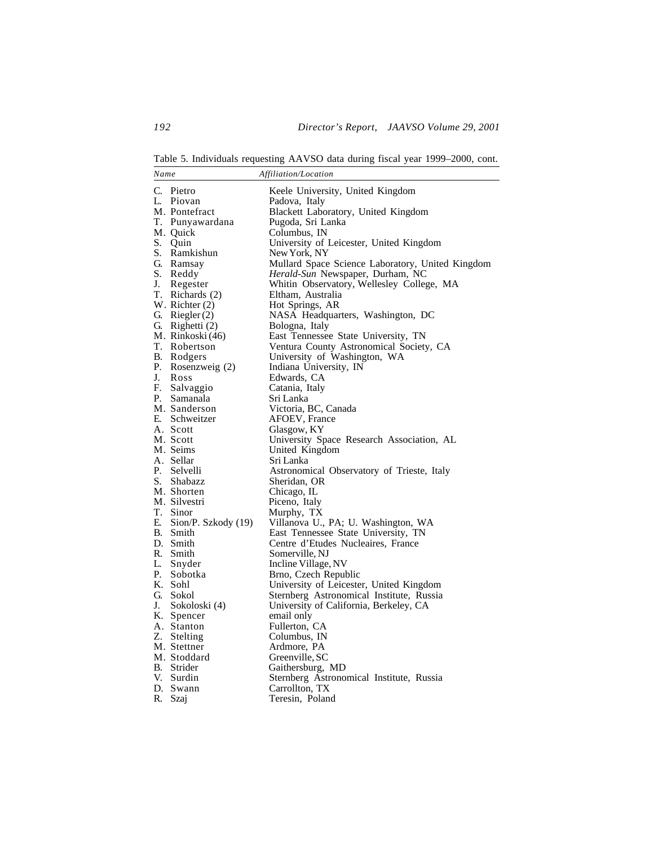Table 5. Individuals requesting AAVSO data during fiscal year 1999–2000, cont.

| Name                       | Affiliation/Location                             |
|----------------------------|--------------------------------------------------|
| C. Pietro                  | Keele University, United Kingdom                 |
| L.<br>Piovan               | Padova, Italy                                    |
| M. Pontefract              | Blackett Laboratory, United Kingdom              |
| T. Punyawardana            | Pugoda, Sri Lanka                                |
| M. Quick                   | Columbus, IN                                     |
| S. Quin                    | University of Leicester, United Kingdom          |
| S. Ramkishun               | New York, NY                                     |
| G. Ramsay                  | Mullard Space Science Laboratory, United Kingdom |
| S. Reddy                   | Herald-Sun Newspaper, Durham, NC                 |
| J.<br>Regester             | Whitin Observatory, Wellesley College, MA        |
| T. Richards (2)            | Eltham, Australia                                |
| W. Richter (2)             | Hot Springs, AR                                  |
| G. Riegler $(2)$           | NASA Headquarters, Washington, DC                |
| G. Righetti (2)            | Bologna, Italy                                   |
| M. Rinkoski (46)           | East Tennessee State University, TN              |
| T. Robertson               | Ventura County Astronomical Society, CA          |
| B. Rodgers                 | University of Washington, WA                     |
| Р.<br>Rosenzweig (2)       | Indiana University, IN                           |
| J.<br>Ross                 | Edwards, CA                                      |
| F. Salvaggio               | Catania, Italy                                   |
| P. Samanala                | Sri Lanka                                        |
| M. Sanderson               | Victoria, BC, Canada                             |
| E. Schweitzer              | AFOEV, France                                    |
| A. Scott                   | Glasgow, KY                                      |
| M. Scott                   | University Space Research Association, AL        |
| M. Seims                   | United Kingdom                                   |
| A. Sellar                  | Sri Lanka                                        |
| P. Selvelli                | Astronomical Observatory of Trieste, Italy       |
| S. Shabazz                 | Sheridan, OR                                     |
| M. Shorten                 | Chicago, IL                                      |
| M. Silvestri               | Piceno, Italy                                    |
| T. Sinor                   | Murphy, TX                                       |
| E. Sion/P. Szkody (19)     | Villanova U., PA; U. Washington, WA              |
| B. Smith                   | East Tennessee State University, TN              |
| D. Smith                   | Centre d'Etudes Nucleaires, France               |
| R. Smith                   | Somerville, NJ                                   |
| L. Snyder                  | Incline Village, NV                              |
| P. Sobotka                 | Brno, Czech Republic                             |
| K. Sohl                    | University of Leicester, United Kingdom          |
| G. Sokol                   | Sternberg Astronomical Institute, Russia         |
| J.<br>Sokoloski (4)        | University of California, Berkeley, CA           |
| K. Spencer                 | email only                                       |
| A. Stanton                 | Fullerton, CA                                    |
| Z. Stelting<br>M. Stettner | Columbus, IN                                     |
| M. Stoddard                | Ardmore, PA<br>Greenville, SC                    |
| B. Strider                 | Gaithersburg, MD                                 |
| V. Surdin                  | Sternberg Astronomical Institute, Russia         |
| D. Swann                   | Carrollton, TX                                   |
| R.<br>Szaj                 | Teresin, Poland                                  |
|                            |                                                  |